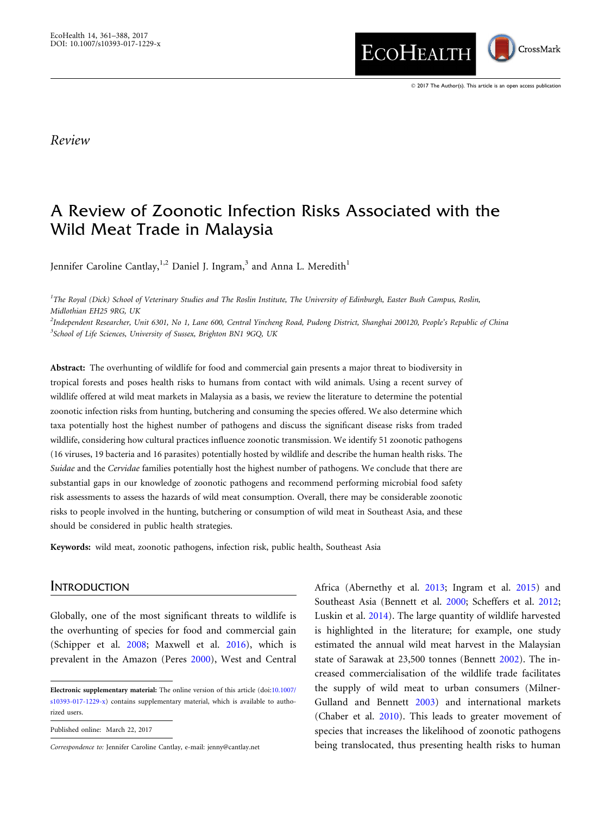

Review

# A Review of Zoonotic Infection Risks Associated with the Wild Meat Trade in Malaysia

Jennifer Caroline Cantlay,<sup>1,2</sup> Daniel J. Ingram,<sup>3</sup> and Anna L. Meredith<sup>1</sup>

<sup>1</sup>The Royal (Dick) School of Veterinary Studies and The Roslin Institute, The University of Edinburgh, Easter Bush Campus, Roslin, Midlothian EH25 9RG, UK

2 Independent Researcher, Unit 6301, No 1, Lane 600, Central Yincheng Road, Pudong District, Shanghai 200120, People's Republic of China <sup>3</sup>School of Life Sciences, University of Sussex, Brighton BN1 9GQ, UK

Abstract: The overhunting of wildlife for food and commercial gain presents a major threat to biodiversity in tropical forests and poses health risks to humans from contact with wild animals. Using a recent survey of wildlife offered at wild meat markets in Malaysia as a basis, we review the literature to determine the potential zoonotic infection risks from hunting, butchering and consuming the species offered. We also determine which taxa potentially host the highest number of pathogens and discuss the significant disease risks from traded wildlife, considering how cultural practices influence zoonotic transmission. We identify 51 zoonotic pathogens (16 viruses, 19 bacteria and 16 parasites) potentially hosted by wildlife and describe the human health risks. The Suidae and the Cervidae families potentially host the highest number of pathogens. We conclude that there are substantial gaps in our knowledge of zoonotic pathogens and recommend performing microbial food safety risk assessments to assess the hazards of wild meat consumption. Overall, there may be considerable zoonotic risks to people involved in the hunting, butchering or consumption of wild meat in Southeast Asia, and these should be considered in public health strategies.

Keywords: wild meat, zoonotic pathogens, infection risk, public health, Southeast Asia

#### **INTRODUCTION**

Globally, one of the most significant threats to wildlife is the overhunting of species for food and commercial gain (Schipper et al. [2008](#page-26-0); Maxwell et al. [2016](#page-24-0)), which is prevalent in the Amazon (Peres [2000\)](#page-25-0), West and Central

Published online: March 22, 2017

Africa (Abernethy et al. [2013](#page-20-0); Ingram et al. [2015](#page-23-0)) and Southeast Asia (Bennett et al. [2000;](#page-21-0) Scheffers et al. [2012;](#page-26-0) Luskin et al. [2014](#page-24-0)). The large quantity of wildlife harvested is highlighted in the literature; for example, one study estimated the annual wild meat harvest in the Malaysian state of Sarawak at 23,500 tonnes (Bennett [2002\)](#page-21-0). The increased commercialisation of the wildlife trade facilitates the supply of wild meat to urban consumers (Milner-Gulland and Bennett [2003](#page-24-0)) and international markets (Chaber et al. [2010\)](#page-21-0). This leads to greater movement of species that increases the likelihood of zoonotic pathogens being translocated, thus presenting health risks to human

Electronic supplementary material: The online version of this article (doi[:10.1007/](http://dx.doi.org/10.1007/s10393-017-1229-x) [s10393-017-1229-x\)](http://dx.doi.org/10.1007/s10393-017-1229-x) contains supplementary material, which is available to authorized users.

Correspondence to: Jennifer Caroline Cantlay, e-mail: jenny@cantlay.net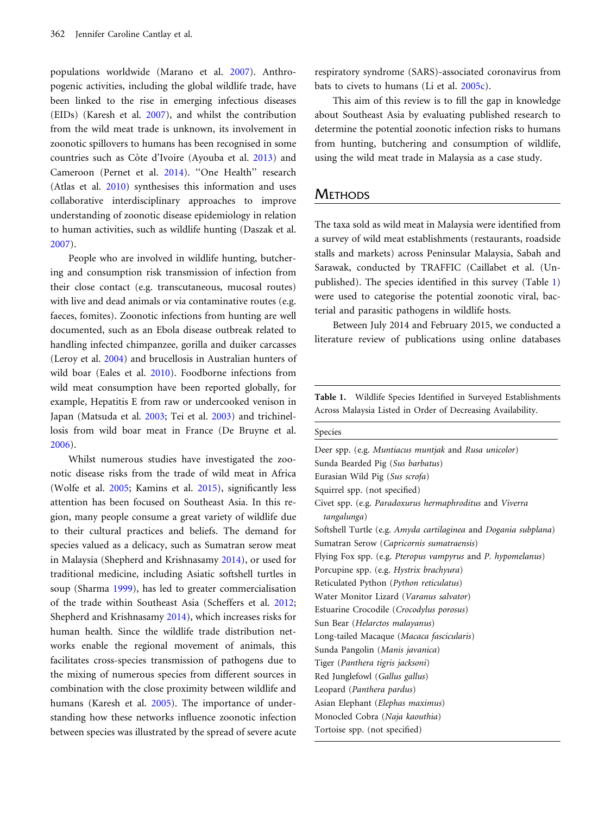populations worldwide (Marano et al. [2007\)](#page-24-0). Anthropogenic activities, including the global wildlife trade, have been linked to the rise in emerging infectious diseases (EIDs) (Karesh et al. [2007](#page-23-0)), and whilst the contribution from the wild meat trade is unknown, its involvement in zoonotic spillovers to humans has been recognised in some countries such as Côte d'Ivoire (Ayouba et al. [2013](#page-21-0)) and Cameroon (Pernet et al. [2014\)](#page-25-0). ''One Health'' research (Atlas et al. [2010](#page-21-0)) synthesises this information and uses collaborative interdisciplinary approaches to improve understanding of zoonotic disease epidemiology in relation to human activities, such as wildlife hunting (Daszak et al. [2007](#page-22-0)).

People who are involved in wildlife hunting, butchering and consumption risk transmission of infection from their close contact (e.g. transcutaneous, mucosal routes) with live and dead animals or via contaminative routes (e.g. faeces, fomites). Zoonotic infections from hunting are well documented, such as an Ebola disease outbreak related to handling infected chimpanzee, gorilla and duiker carcasses (Leroy et al. [2004](#page-24-0)) and brucellosis in Australian hunters of wild boar (Eales et al. [2010](#page-22-0)). Foodborne infections from wild meat consumption have been reported globally, for example, Hepatitis E from raw or undercooked venison in Japan (Matsuda et al. [2003](#page-24-0); Tei et al. [2003\)](#page-26-0) and trichinellosis from wild boar meat in France (De Bruyne et al. [2006](#page-22-0)).

Whilst numerous studies have investigated the zoonotic disease risks from the trade of wild meat in Africa (Wolfe et al. [2005](#page-26-0); Kamins et al. [2015](#page-23-0)), significantly less attention has been focused on Southeast Asia. In this region, many people consume a great variety of wildlife due to their cultural practices and beliefs. The demand for species valued as a delicacy, such as Sumatran serow meat in Malaysia (Shepherd and Krishnasamy [2014](#page-26-0)), or used for traditional medicine, including Asiatic softshell turtles in soup (Sharma [1999\)](#page-26-0), has led to greater commercialisation of the trade within Southeast Asia (Scheffers et al. [2012;](#page-26-0) Shepherd and Krishnasamy [2014](#page-26-0)), which increases risks for human health. Since the wildlife trade distribution networks enable the regional movement of animals, this facilitates cross-species transmission of pathogens due to the mixing of numerous species from different sources in combination with the close proximity between wildlife and humans (Karesh et al. [2005](#page-23-0)). The importance of understanding how these networks influence zoonotic infection between species was illustrated by the spread of severe acute

respiratory syndrome (SARS)-associated coronavirus from bats to civets to humans (Li et al. [2005c](#page-24-0)).

This aim of this review is to fill the gap in knowledge about Southeast Asia by evaluating published research to determine the potential zoonotic infection risks to humans from hunting, butchering and consumption of wildlife, using the wild meat trade in Malaysia as a case study.

## **METHODS**

The taxa sold as wild meat in Malaysia were identified from a survey of wild meat establishments (restaurants, roadside stalls and markets) across Peninsular Malaysia, Sabah and Sarawak, conducted by TRAFFIC (Caillabet et al. (Unpublished). The species identified in this survey (Table 1) were used to categorise the potential zoonotic viral, bacterial and parasitic pathogens in wildlife hosts.

Between July 2014 and February 2015, we conducted a literature review of publications using online databases

Table 1. Wildlife Species Identified in Surveyed Establishments Across Malaysia Listed in Order of Decreasing Availability.

#### Species

Deer spp. (e.g. Muntiacus muntjak and Rusa unicolor) Sunda Bearded Pig (Sus barbatus) Eurasian Wild Pig (Sus scrofa) Squirrel spp. (not specified) Civet spp. (e.g. Paradoxurus hermaphroditus and Viverra tangalunga) Softshell Turtle (e.g. Amyda cartilaginea and Dogania subplana) Sumatran Serow (Capricornis sumatraensis) Flying Fox spp. (e.g. Pteropus vampyrus and P. hypomelanus) Porcupine spp. (e.g. Hystrix brachyura) Reticulated Python (Python reticulatus) Water Monitor Lizard (Varanus salvator) Estuarine Crocodile (Crocodylus porosus) Sun Bear (Helarctos malayanus) Long-tailed Macaque (Macaca fascicularis) Sunda Pangolin (Manis javanica) Tiger (Panthera tigris jacksoni) Red Junglefowl (Gallus gallus) Leopard (Panthera pardus) Asian Elephant (Elephas maximus) Monocled Cobra (Naja kaouthia) Tortoise spp. (not specified)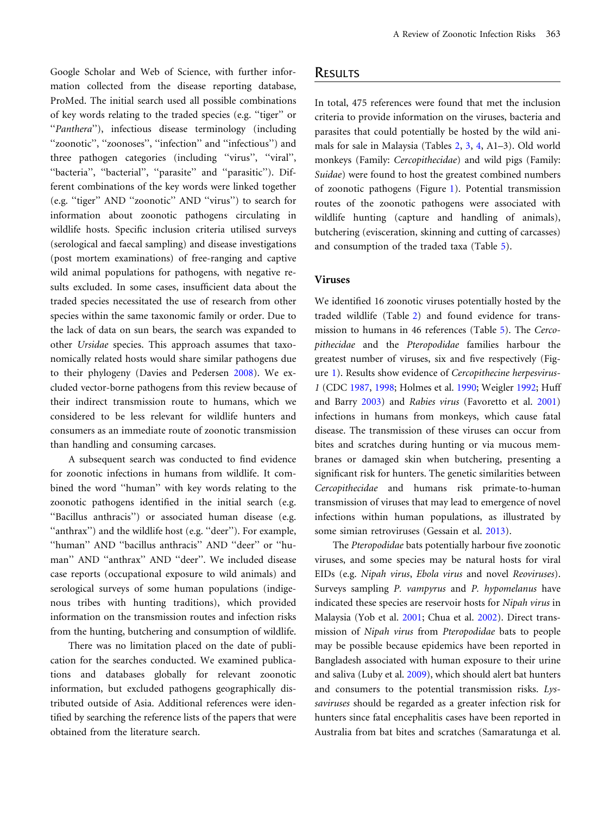Google Scholar and Web of Science, with further information collected from the disease reporting database, ProMed. The initial search used all possible combinations of key words relating to the traded species (e.g. ''tiger'' or "Panthera"), infectious disease terminology (including ''zoonotic'', ''zoonoses'', ''infection'' and ''infectious'') and three pathogen categories (including ''virus'', ''viral'', "bacteria", "bacterial", "parasite" and "parasitic"). Different combinations of the key words were linked together (e.g. ''tiger'' AND ''zoonotic'' AND ''virus'') to search for information about zoonotic pathogens circulating in wildlife hosts. Specific inclusion criteria utilised surveys (serological and faecal sampling) and disease investigations (post mortem examinations) of free-ranging and captive wild animal populations for pathogens, with negative results excluded. In some cases, insufficient data about the traded species necessitated the use of research from other species within the same taxonomic family or order. Due to the lack of data on sun bears, the search was expanded to other Ursidae species. This approach assumes that taxonomically related hosts would share similar pathogens due to their phylogeny (Davies and Pedersen [2008](#page-22-0)). We excluded vector-borne pathogens from this review because of their indirect transmission route to humans, which we considered to be less relevant for wildlife hunters and consumers as an immediate route of zoonotic transmission than handling and consuming carcases.

A subsequent search was conducted to find evidence for zoonotic infections in humans from wildlife. It combined the word ''human'' with key words relating to the zoonotic pathogens identified in the initial search (e.g. ''Bacillus anthracis'') or associated human disease (e.g. "anthrax") and the wildlife host (e.g. "deer"). For example, ''human'' AND ''bacillus anthracis'' AND ''deer'' or ''human'' AND ''anthrax'' AND ''deer''. We included disease case reports (occupational exposure to wild animals) and serological surveys of some human populations (indigenous tribes with hunting traditions), which provided information on the transmission routes and infection risks from the hunting, butchering and consumption of wildlife.

There was no limitation placed on the date of publication for the searches conducted. We examined publications and databases globally for relevant zoonotic information, but excluded pathogens geographically distributed outside of Asia. Additional references were identified by searching the reference lists of the papers that were obtained from the literature search.

## **RESULTS**

In total, 475 references were found that met the inclusion criteria to provide information on the viruses, bacteria and parasites that could potentially be hosted by the wild animals for sale in Malaysia (Tables [2](#page-3-0), [3](#page-4-0), [4,](#page-5-0) A1–3). Old world monkeys (Family: Cercopithecidae) and wild pigs (Family: Suidae) were found to host the greatest combined numbers of zoonotic pathogens (Figure [1\)](#page-17-0). Potential transmission routes of the zoonotic pathogens were associated with wildlife hunting (capture and handling of animals), butchering (evisceration, skinning and cutting of carcasses) and consumption of the traded taxa (Table [5\)](#page-6-0).

## Viruses

We identified 16 zoonotic viruses potentially hosted by the traded wildlife (Table [2\)](#page-3-0) and found evidence for transmission to humans in 46 references (Table [5\)](#page-6-0). The Cercopithecidae and the Pteropodidae families harbour the greatest number of viruses, six and five respectively (Figure [1](#page-17-0)). Results show evidence of Cercopithecine herpesvirus-1 (CDC [1987](#page-21-0), [1998](#page-21-0); Holmes et al. [1990](#page-23-0); Weigler [1992](#page-26-0); Huff and Barry [2003\)](#page-23-0) and Rabies virus (Favoretto et al. [2001](#page-22-0)) infections in humans from monkeys, which cause fatal disease. The transmission of these viruses can occur from bites and scratches during hunting or via mucous membranes or damaged skin when butchering, presenting a significant risk for hunters. The genetic similarities between Cercopithecidae and humans risk primate-to-human transmission of viruses that may lead to emergence of novel infections within human populations, as illustrated by some simian retroviruses (Gessain et al. [2013](#page-22-0)).

The Pteropodidae bats potentially harbour five zoonotic viruses, and some species may be natural hosts for viral EIDs (e.g. Nipah virus, Ebola virus and novel Reoviruses). Surveys sampling P. vampyrus and P. hypomelanus have indicated these species are reservoir hosts for Nipah virus in Malaysia (Yob et al. [2001](#page-27-0); Chua et al. [2002](#page-21-0)). Direct transmission of Nipah virus from Pteropodidae bats to people may be possible because epidemics have been reported in Bangladesh associated with human exposure to their urine and saliva (Luby et al. [2009\)](#page-24-0), which should alert bat hunters and consumers to the potential transmission risks. Lyssaviruses should be regarded as a greater infection risk for hunters since fatal encephalitis cases have been reported in Australia from bat bites and scratches (Samaratunga et al.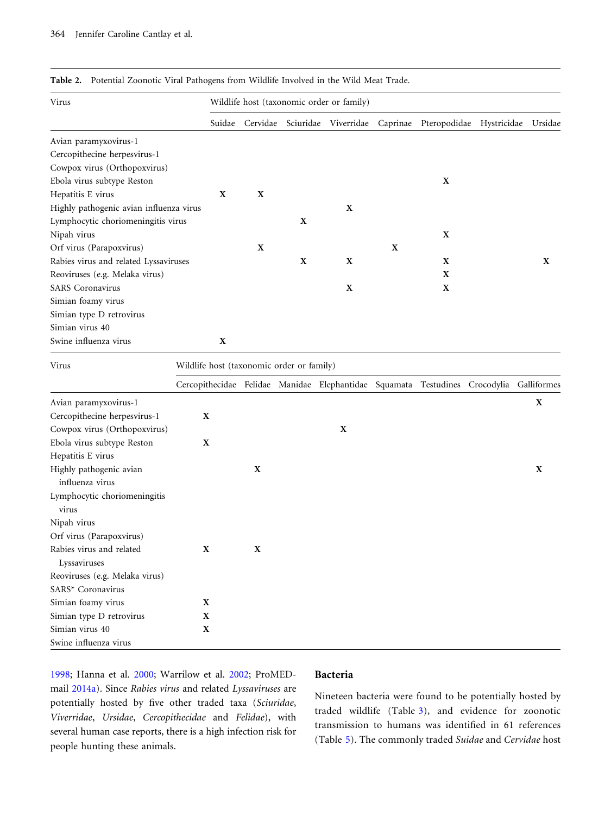| Virus                                                                                 |                                                                                         |             |             | Wildlife host (taxonomic order or family)                                      |             |             |             |
|---------------------------------------------------------------------------------------|-----------------------------------------------------------------------------------------|-------------|-------------|--------------------------------------------------------------------------------|-------------|-------------|-------------|
|                                                                                       |                                                                                         |             |             | Suidae Cervidae Sciuridae Viverridae Caprinae Pteropodidae Hystricidae Ursidae |             |             |             |
| Avian paramyxovirus-1<br>Cercopithecine herpesvirus-1<br>Cowpox virus (Orthopoxvirus) |                                                                                         |             |             |                                                                                |             |             |             |
| Ebola virus subtype Reston                                                            |                                                                                         |             |             |                                                                                |             | X           |             |
| Hepatitis E virus                                                                     | $\mathbf X$                                                                             | $\mathbf X$ |             |                                                                                |             |             |             |
| Highly pathogenic avian influenza virus<br>Lymphocytic choriomeningitis virus         |                                                                                         |             | $\mathbf X$ | $\mathbf X$                                                                    |             |             |             |
| Nipah virus                                                                           |                                                                                         |             |             |                                                                                |             | $\mathbf X$ |             |
| Orf virus (Parapoxvirus)                                                              |                                                                                         | $\mathbf X$ |             |                                                                                | $\mathbf X$ |             |             |
| Rabies virus and related Lyssaviruses                                                 |                                                                                         |             | $\mathbf X$ | $\mathbf X$                                                                    |             | $\mathbf X$ | $\mathbf X$ |
| Reoviruses (e.g. Melaka virus)                                                        |                                                                                         |             |             |                                                                                |             | $\mathbf X$ |             |
| <b>SARS</b> Coronavirus                                                               |                                                                                         |             |             | $\mathbf X$                                                                    |             | $\mathbf X$ |             |
| Simian foamy virus                                                                    |                                                                                         |             |             |                                                                                |             |             |             |
| Simian type D retrovirus                                                              |                                                                                         |             |             |                                                                                |             |             |             |
| Simian virus 40                                                                       |                                                                                         |             |             |                                                                                |             |             |             |
| Swine influenza virus                                                                 | $\mathbf X$                                                                             |             |             |                                                                                |             |             |             |
| Virus                                                                                 | Wildlife host (taxonomic order or family)                                               |             |             |                                                                                |             |             |             |
|                                                                                       | Cercopithecidae Felidae Manidae Elephantidae Squamata Testudines Crocodylia Galliformes |             |             |                                                                                |             |             |             |
| Avian paramyxovirus-1                                                                 |                                                                                         |             |             |                                                                                |             |             | $\mathbf X$ |
| Cercopithecine herpesvirus-1                                                          | $\mathbf X$                                                                             |             |             |                                                                                |             |             |             |
| Cowpox virus (Orthopoxvirus)                                                          |                                                                                         |             |             | $\mathbf X$                                                                    |             |             |             |
| Ebola virus subtype Reston                                                            | X                                                                                       |             |             |                                                                                |             |             |             |
| Hepatitis E virus                                                                     |                                                                                         |             |             |                                                                                |             |             |             |
| Highly pathogenic avian<br>influenza virus                                            |                                                                                         | X           |             |                                                                                |             |             | $\mathbf X$ |
| Lymphocytic choriomeningitis<br>virus                                                 |                                                                                         |             |             |                                                                                |             |             |             |
| Nipah virus                                                                           |                                                                                         |             |             |                                                                                |             |             |             |
| Orf virus (Parapoxvirus)                                                              |                                                                                         |             |             |                                                                                |             |             |             |
| Rabies virus and related<br>Lyssaviruses                                              | $\mathbf X$                                                                             | X           |             |                                                                                |             |             |             |
| Reoviruses (e.g. Melaka virus)                                                        |                                                                                         |             |             |                                                                                |             |             |             |
| SARS* Coronavirus                                                                     |                                                                                         |             |             |                                                                                |             |             |             |
| Simian foamy virus                                                                    | X                                                                                       |             |             |                                                                                |             |             |             |
| Simian type D retrovirus                                                              | $\mathbf X$                                                                             |             |             |                                                                                |             |             |             |
| Simian virus 40                                                                       | $\mathbf X$                                                                             |             |             |                                                                                |             |             |             |
| Swine influenza virus                                                                 |                                                                                         |             |             |                                                                                |             |             |             |

## <span id="page-3-0"></span>Table 2. Potential Zoonotic Viral Pathogens from Wildlife Involved in the Wild Meat Trade.

[1998](#page-26-0); Hanna et al. [2000](#page-23-0); Warrilow et al. [2002;](#page-26-0) ProMEDmail [2014a](#page-25-0)). Since Rabies virus and related Lyssaviruses are potentially hosted by five other traded taxa (Sciuridae, Viverridae, Ursidae, Cercopithecidae and Felidae), with several human case reports, there is a high infection risk for people hunting these animals.

### Bacteria

Nineteen bacteria were found to be potentially hosted by traded wildlife (Table [3\)](#page-4-0), and evidence for zoonotic transmission to humans was identified in 61 references (Table [5\)](#page-6-0). The commonly traded Suidae and Cervidae host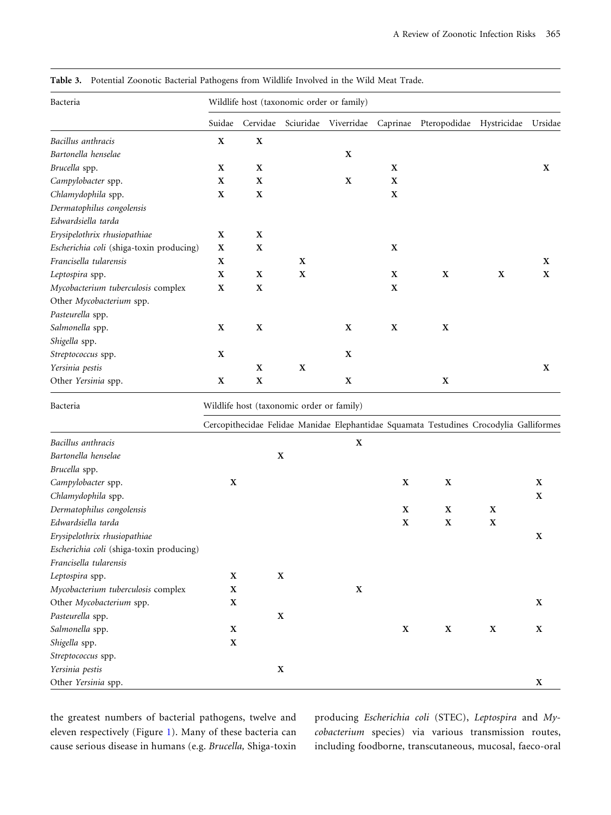| Bacteria                                 |             |             | Wildlife host (taxonomic order or family) |                      |             |                                                                                         |             |             |
|------------------------------------------|-------------|-------------|-------------------------------------------|----------------------|-------------|-----------------------------------------------------------------------------------------|-------------|-------------|
|                                          | Suidae      | Cervidae    |                                           | Sciuridae Viverridae |             | Caprinae Pteropodidae Hystricidae                                                       |             | Ursidae     |
| Bacillus anthracis                       | X           | X           |                                           |                      |             |                                                                                         |             |             |
| Bartonella henselae                      |             |             |                                           | $\mathbf X$          |             |                                                                                         |             |             |
| Brucella spp.                            | X           | X           |                                           |                      | $\mathbf X$ |                                                                                         |             | $\mathbf X$ |
| Campylobacter spp.                       | $\mathbf X$ | $\mathbf X$ |                                           | $\mathbf X$          | $\mathbf X$ |                                                                                         |             |             |
| Chlamydophila spp.                       | X           | $\mathbf X$ |                                           |                      | $\mathbf X$ |                                                                                         |             |             |
| Dermatophilus congolensis                |             |             |                                           |                      |             |                                                                                         |             |             |
| Edwardsiella tarda                       |             |             |                                           |                      |             |                                                                                         |             |             |
| Erysipelothrix rhusiopathiae             | X           | X           |                                           |                      |             |                                                                                         |             |             |
| Escherichia coli (shiga-toxin producing) | X           | X           |                                           |                      | $\mathbf X$ |                                                                                         |             |             |
| Francisella tularensis                   | $\mathbf X$ |             | $\mathbf X$                               |                      |             |                                                                                         |             | $\mathbf X$ |
| Leptospira spp.                          | $\mathbf X$ | $\mathbf X$ | $\mathbf X$                               |                      | $\mathbf X$ | $\mathbf X$                                                                             | X           | X           |
| Mycobacterium tuberculosis complex       | X           | $\mathbf X$ |                                           |                      | $\mathbf X$ |                                                                                         |             |             |
| Other Mycobacterium spp.                 |             |             |                                           |                      |             |                                                                                         |             |             |
| Pasteurella spp.                         |             |             |                                           |                      |             |                                                                                         |             |             |
| Salmonella spp.                          | $\mathbf X$ | $\mathbf X$ |                                           | $\mathbf X$          | $\mathbf X$ | $\mathbf X$                                                                             |             |             |
| Shigella spp.                            |             |             |                                           |                      |             |                                                                                         |             |             |
| Streptococcus spp.                       | X           |             |                                           | $\mathbf X$          |             |                                                                                         |             |             |
| Yersinia pestis                          |             | $\mathbf X$ | $\mathbf X$                               |                      |             |                                                                                         |             | $\mathbf X$ |
| Other Yersinia spp.                      | X           | $\mathbf X$ |                                           | $\mathbf X$          |             | $\mathbf X$                                                                             |             |             |
| Bacteria                                 |             |             | Wildlife host (taxonomic order or family) |                      |             |                                                                                         |             |             |
|                                          |             |             |                                           |                      |             | Cercopithecidae Felidae Manidae Elephantidae Squamata Testudines Crocodylia Galliformes |             |             |
| Bacillus anthracis                       |             |             |                                           | $\mathbf X$          |             |                                                                                         |             |             |
| Bartonella henselae                      |             |             | X                                         |                      |             |                                                                                         |             |             |
| Brucella spp.                            |             |             |                                           |                      |             |                                                                                         |             |             |
| Campylobacter spp.                       | X           |             |                                           |                      | X           | $\mathbf X$                                                                             |             | X           |
| Chlamydophila spp.                       |             |             |                                           |                      |             |                                                                                         |             | $\mathbf X$ |
| Dermatophilus congolensis                |             |             |                                           |                      | $\mathbf X$ | X                                                                                       | $\mathbf X$ |             |
| Edwardsiella tarda                       |             |             |                                           |                      | $\mathbf X$ | $\mathbf X$                                                                             | $\mathbf X$ |             |
| Erysipelothrix rhusiopathiae             |             |             |                                           |                      |             |                                                                                         |             | $\mathbf X$ |
| Escherichia coli (shiga-toxin producing) |             |             |                                           |                      |             |                                                                                         |             |             |
| Francisella tularensis                   |             |             |                                           |                      |             |                                                                                         |             |             |
| Leptospira spp.                          | $\mathbf X$ |             | $\mathbf X$                               |                      |             |                                                                                         |             |             |
| Mycobacterium tuberculosis complex       | $\mathbf X$ |             |                                           | $\mathbf X$          |             |                                                                                         |             |             |
| Other Mycobacterium spp.                 | $\mathbf X$ |             |                                           |                      |             |                                                                                         |             | $\mathbf X$ |
| Pasteurella spp.                         |             |             | $\mathbf X$                               |                      |             |                                                                                         |             |             |
| Salmonella spp.                          | $\mathbf X$ |             |                                           |                      | $\mathbf X$ | $\mathbf X$                                                                             | $\mathbf X$ | $\mathbf X$ |
| Shigella spp.                            | $\mathbf X$ |             |                                           |                      |             |                                                                                         |             |             |
| Streptococcus spp.                       |             |             |                                           |                      |             |                                                                                         |             |             |
| Yersinia pestis                          |             |             | $\mathbf X$                               |                      |             |                                                                                         |             |             |
| Other Yersinia spp.                      |             |             |                                           |                      |             |                                                                                         |             | $\mathbf X$ |

<span id="page-4-0"></span>Table 3. Potential Zoonotic Bacterial Pathogens from Wildlife Involved in the Wild Meat Trade.

the greatest numbers of bacterial pathogens, twelve and eleven respectively (Figure [1\)](#page-17-0). Many of these bacteria can cause serious disease in humans (e.g. Brucella, Shiga-toxin producing Escherichia coli (STEC), Leptospira and Mycobacterium species) via various transmission routes, including foodborne, transcutaneous, mucosal, faeco-oral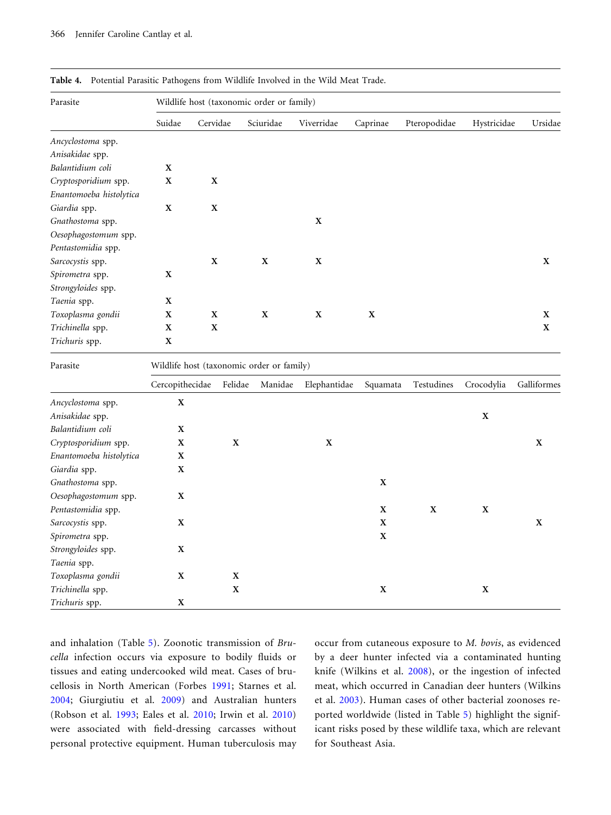| Parasite                |                 |             |             | Wildlife host (taxonomic order or family) |              |             |              |             |             |
|-------------------------|-----------------|-------------|-------------|-------------------------------------------|--------------|-------------|--------------|-------------|-------------|
|                         | Suidae          | Cervidae    |             | Sciuridae                                 | Viverridae   | Caprinae    | Pteropodidae | Hystricidae | Ursidae     |
| Ancyclostoma spp.       |                 |             |             |                                           |              |             |              |             |             |
| Anisakidae spp.         |                 |             |             |                                           |              |             |              |             |             |
| Balantidium coli        | X               |             |             |                                           |              |             |              |             |             |
| Cryptosporidium spp.    | $\mathbf X$     | X           |             |                                           |              |             |              |             |             |
| Enantomoeba histolytica |                 |             |             |                                           |              |             |              |             |             |
| Giardia spp.            | $\mathbf X$     | $\mathbf X$ |             |                                           |              |             |              |             |             |
| Gnathostoma spp.        |                 |             |             |                                           | X            |             |              |             |             |
| Oesophagostomum spp.    |                 |             |             |                                           |              |             |              |             |             |
| Pentastomidia spp.      |                 |             |             |                                           |              |             |              |             |             |
| Sarcocystis spp.        |                 | X           |             | $\mathbf X$                               | $\mathbf X$  |             |              |             | $\mathbf X$ |
| Spirometra spp.         | X               |             |             |                                           |              |             |              |             |             |
| Strongyloides spp.      |                 |             |             |                                           |              |             |              |             |             |
| Taenia spp.             | $\mathbf X$     |             |             |                                           |              |             |              |             |             |
| Toxoplasma gondii       | $\mathbf X$     | $\mathbf X$ |             | $\mathbf X$                               | $\mathbf X$  | $\mathbf X$ |              |             | X           |
| Trichinella spp.        | $\mathbf X$     | $\mathbf X$ |             |                                           |              |             |              |             | $\mathbf X$ |
| Trichuris spp.          | $\mathbf X$     |             |             |                                           |              |             |              |             |             |
| Parasite                |                 |             |             | Wildlife host (taxonomic order or family) |              |             |              |             |             |
|                         | Cercopithecidae |             | Felidae     | Manidae                                   | Elephantidae | Squamata    | Testudines   | Crocodylia  | Galliformes |
| Ancyclostoma spp.       | X               |             |             |                                           |              |             |              |             |             |
| Anisakidae spp.         |                 |             |             |                                           |              |             |              | $\mathbf X$ |             |
| Balantidium coli        | X               |             |             |                                           |              |             |              |             |             |
| Cryptosporidium spp.    | $\mathbf X$     |             | $\mathbf X$ |                                           | $\mathbf X$  |             |              |             | $\mathbf X$ |
| Enantomoeba histolytica | X               |             |             |                                           |              |             |              |             |             |
| Giardia spp.            | X               |             |             |                                           |              |             |              |             |             |
| Gnathostoma spp.        |                 |             |             |                                           |              | $\mathbf X$ |              |             |             |
| Oesophagostomum spp.    | $\mathbf X$     |             |             |                                           |              |             |              |             |             |
| Pentastomidia spp.      |                 |             |             |                                           |              | $\mathbf X$ | $\mathbf X$  | $\mathbf X$ |             |
| Sarcocystis spp.        | X               |             |             |                                           |              | $\mathbf X$ |              |             | $\mathbf X$ |
| Spirometra spp.         |                 |             |             |                                           |              | $\mathbf X$ |              |             |             |
| Strongyloides spp.      | X               |             |             |                                           |              |             |              |             |             |
| Taenia spp.             |                 |             |             |                                           |              |             |              |             |             |
| Toxoplasma gondii       | $\mathbf X$     |             | $\mathbf X$ |                                           |              |             |              |             |             |
| Trichinella spp.        |                 |             | X           |                                           |              | $\mathbf X$ |              | $\mathbf X$ |             |
| Trichuris spp.          | $\mathbf X$     |             |             |                                           |              |             |              |             |             |

<span id="page-5-0"></span>Table 4. Potential Parasitic Pathogens from Wildlife Involved in the Wild Meat Trade.

and inhalation (Table [5\)](#page-6-0). Zoonotic transmission of Brucella infection occurs via exposure to bodily fluids or tissues and eating undercooked wild meat. Cases of brucellosis in North American (Forbes [1991](#page-22-0); Starnes et al. [2004](#page-26-0); Giurgiutiu et al. [2009](#page-22-0)) and Australian hunters (Robson et al. [1993](#page-25-0); Eales et al. [2010](#page-22-0); Irwin et al. [2010](#page-23-0)) were associated with field-dressing carcasses without personal protective equipment. Human tuberculosis may occur from cutaneous exposure to M. bovis, as evidenced by a deer hunter infected via a contaminated hunting knife (Wilkins et al. [2008](#page-26-0)), or the ingestion of infected meat, which occurred in Canadian deer hunters (Wilkins et al. [2003](#page-26-0)). Human cases of other bacterial zoonoses reported worldwide (listed in Table [5](#page-6-0)) highlight the significant risks posed by these wildlife taxa, which are relevant for Southeast Asia.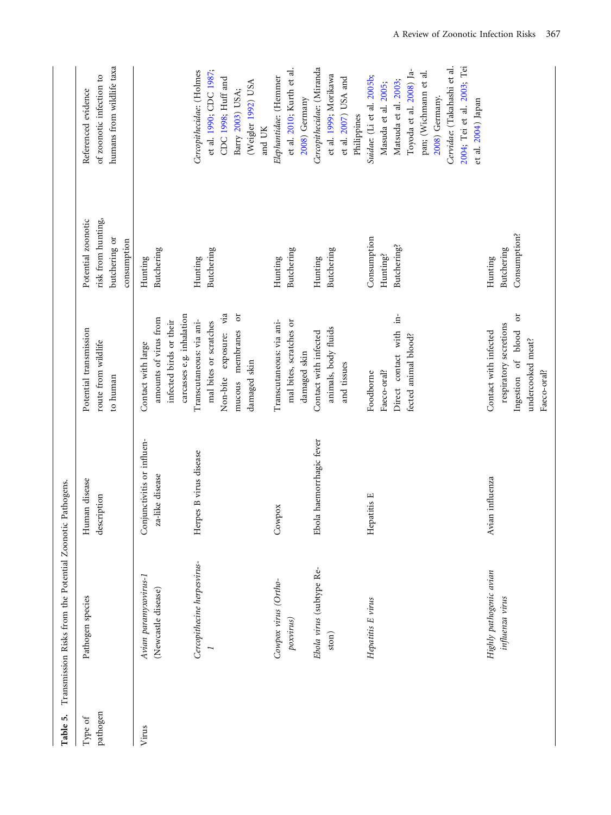<span id="page-6-0"></span>

| Table 5.            | Transmission Risks from the Potential Zoonotic | Pathogens.                                    |                                                                                                                                      |                                                                          |                                                                                                                                                                                                                                   |
|---------------------|------------------------------------------------|-----------------------------------------------|--------------------------------------------------------------------------------------------------------------------------------------|--------------------------------------------------------------------------|-----------------------------------------------------------------------------------------------------------------------------------------------------------------------------------------------------------------------------------|
| pathogen<br>Type of | Pathogen species                               | Human disease<br>description                  | Potential transmission<br>route from wildlife<br>to human                                                                            | risk from hunting,<br>Potential zoonotic<br>butchering or<br>consumption | humans from wildlife taxa<br>of zoonotic infection to<br>Referenced evidence                                                                                                                                                      |
| Virus               | Avian paramyxovirus-1<br>(Newcastle disease)   | Conjunctivitis or influen-<br>za-like disease | carcasses e.g. inhalation<br>amounts of virus from<br>infected birds or their<br>Contact with large                                  | Butchering<br>Hunting                                                    |                                                                                                                                                                                                                                   |
|                     | Cercopithecine herpesvirus-                    | Herpes B virus disease                        | Non-bite exposure: via<br>$\overline{c}$<br>Transcutaneous: via ani-<br>mal bites or scratches<br>mucous membranes<br>damaged skin   | Butchering<br>Hunting                                                    | et al. 1990; CDC 1987;<br>Cercopithecidae: (Holmes<br>CDC 1998; Huff and<br>(Weigler 1992) USA<br>Barry 2003) USA;<br>and UK                                                                                                      |
|                     | Cowpox virus (Ortho-<br>povirus)               | Cowpox                                        | Transcutaneous: via ani-<br>mal bites, scratches or<br>damaged skin                                                                  | Butchering<br>Hunting                                                    | et al. 2010; Kurth et al.<br>Elephantidae: (Hemmer<br>2008) Germany                                                                                                                                                               |
|                     | Ebola virus (subtype Re-<br>ston)              | Ebola haemorrhagic fever                      | animals, body fluids<br>Contact with infected<br>and tissues                                                                         | Butchering<br>Hunting                                                    | Cercopithecidae: (Miranda<br>et al. 1999; Morikawa<br>et al. 2007) USA and<br>Philippines                                                                                                                                         |
|                     | Hepatitis E virus                              | Hepatitis E                                   | Direct contact with in-<br>fected animal blood?<br>Faeco-oral?<br>Foodborne                                                          | Consumption<br>Butchering?<br>Hunting?                                   | 2004; Tei et al. 2003; Tei<br>Cervidae: (Takahashi et al.<br>Toyoda et al. 2008) Ja-<br>pan; (Wichmann et al.<br>Suidae: (Li et al. 2005b;<br>Matsuda et al. 2003;<br>Masuda et al. 2005;<br>2008) Germany.<br>et al. 2004) Japan |
|                     | Highly pathogenic avian<br>influenza virus     | Avian influenza                               | $\overline{\mathbf{C}}$<br>respiratory secretions<br>Ingestion of blood<br>Contact with infected<br>undercooked meat?<br>Faeco-oral? | Consumption?<br>Butchering<br>Hunting                                    |                                                                                                                                                                                                                                   |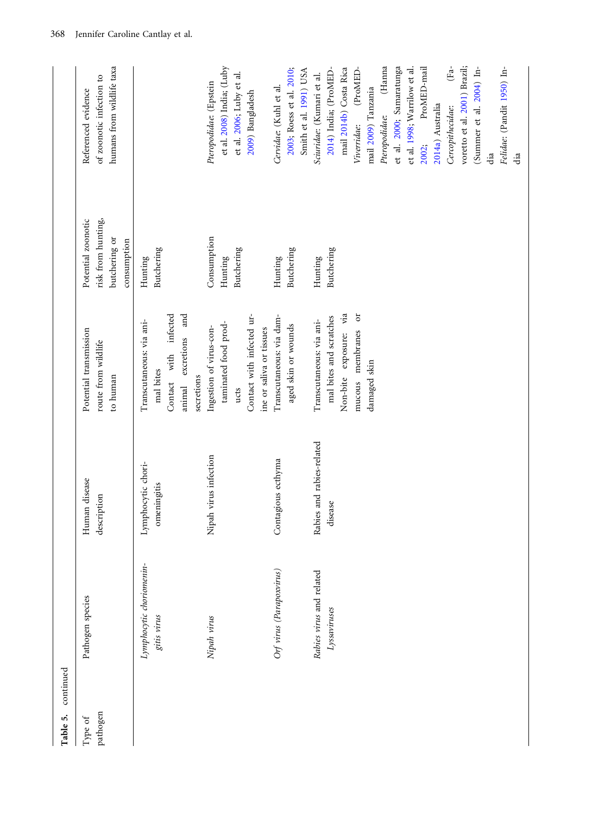| Table 5.            | continued                               |                                      |                                                                                                                      |                                                                          |                                                                                                                                                                                                                                                                                                                                                                  |
|---------------------|-----------------------------------------|--------------------------------------|----------------------------------------------------------------------------------------------------------------------|--------------------------------------------------------------------------|------------------------------------------------------------------------------------------------------------------------------------------------------------------------------------------------------------------------------------------------------------------------------------------------------------------------------------------------------------------|
| pathogen<br>Type of | Pathogen species                        | Human disease<br>description         | Potential transmission<br>route from wildlife<br>to human                                                            | Potential zoonotic<br>risk from hunting,<br>butchering or<br>consumption | humans from wildlife taxa<br>of zoonotic infection to<br>Referenced evidence                                                                                                                                                                                                                                                                                     |
|                     | Lymphocytic choriomenin-<br>gitis virus | Lymphocytic chori-<br>omeningitis    | animal excretions and<br>Contact with infected<br>Transcutaneous: via ani-<br>mal bites<br>secretions                | Butchering<br>Hunting                                                    |                                                                                                                                                                                                                                                                                                                                                                  |
|                     | Nipah virus                             | Nipah virus infection                | Contact with infected ur-<br>taminated food prod-<br>Ingestion of virus-con-<br>ine or saliva or tissues<br>ucts     | Consumption<br>Butchering<br>Hunting                                     | et al. 2008) India; (Luby<br>et al. 2006; Luby et al.<br>Pteropodidae: (Epstein<br>2009) Bangladesh                                                                                                                                                                                                                                                              |
|                     | Orf virus (Parapoxvirus)                | Contagious ecthyma                   | Transcutaneous: via dam-<br>aged skin or wounds                                                                      | Butchering<br>Hunting                                                    | 2003; Roess et al. 2010;<br>Smith et al. 1991) USA<br>Cervidae: (Kuhl et al.                                                                                                                                                                                                                                                                                     |
|                     | Rabies virus and related<br>Lysaviruses | Rabies and rabies-related<br>disease | mucous membranes or<br>Non-bite exposure: via<br>mal bites and scratches<br>Transcutaneous: via ani-<br>damaged skin | Butchering<br>Hunting                                                    | (Hanna<br>voretto et al. 2001) Brazil;<br>et al. 2000; Samaratunga<br>(Fa-<br>(Summer et al. 2004) In-<br>2014) India; (ProMED-<br>mail 2014b) Costa Rica<br>et al. 1998; Warrilow et al.<br>ProMED-mail<br>(ProMED-<br>Sciuridae: (Kumari et al.<br>mail 2009) Tanzania<br>Pteropodidae:<br>2014a) Australia<br>Cercopithecidae:<br>Viverridae:<br>2002;<br>dia |
|                     |                                         |                                      |                                                                                                                      |                                                                          | Felidae: (Pandit 1950) In-<br>dia                                                                                                                                                                                                                                                                                                                                |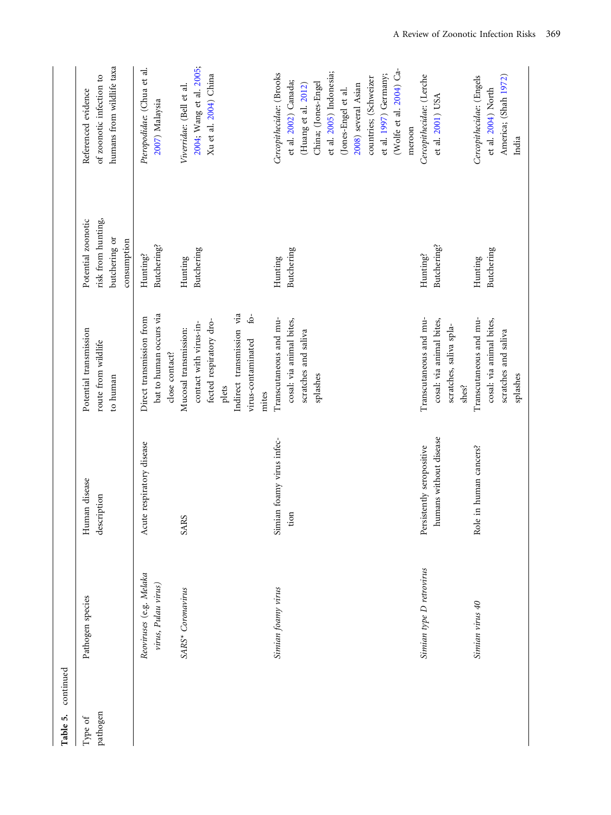| continued<br>Table 5. |                                                                     |                                                     |                                                                                                                                                                                           |                                                                          |                                                                                                                                                                                                                                                                |
|-----------------------|---------------------------------------------------------------------|-----------------------------------------------------|-------------------------------------------------------------------------------------------------------------------------------------------------------------------------------------------|--------------------------------------------------------------------------|----------------------------------------------------------------------------------------------------------------------------------------------------------------------------------------------------------------------------------------------------------------|
| pathogen<br>Type of   | Pathogen species                                                    | Human disease<br>description                        | Potential transmission<br>route from wildlife<br>to human                                                                                                                                 | risk from hunting,<br>Potential zoonotic<br>butchering or<br>consumption | humans from wildlife taxa<br>of zoonotic infection to<br>Referenced evidence                                                                                                                                                                                   |
|                       | Reoviruses (e.g. Melaka<br>virus, Pulau virus)<br>SARS* Coronavirus | Acute respiratory disease<br><b>SARS</b>            | bat to human occurs via<br>Indirect transmission via<br>Direct transmission from<br>fected respiratory dro-<br>contact with virus-in-<br>Mucosal transmission:<br>close contact?<br>plets | Butchering?<br>Butchering<br>Hunting?<br>Hunting                         | 2004; Wang et al. 2005;<br>Pteropodidae: (Chua et al.<br>Xu et al. 2004) China<br>Viverridae: (Bell et al.<br>2007) Malaysia                                                                                                                                   |
|                       | Simian foamy virus                                                  | Simian foamy virus infec-<br>tion                   | ę,<br>Transcutaneous and mu-<br>cosal: via animal bites,<br>scratches and saliva<br>virus-contaminated<br>splashes<br>mites                                                               | <b>Butchering</b><br>Hunting                                             | (Wolfe et al. 2004) Ca-<br>et al. 2005) Indonesia;<br>Cercopithecidae: (Brooks<br>et al. 1997) Germany;<br>countries; (Schweizer<br>et al. 2002) Canada;<br>China; (Jones-Engel<br>(Huang et al. 2012)<br>2008) several Asian<br>(Jones-Engel et al.<br>meroon |
|                       | Simian type D retrovirus                                            | humans without disease<br>Persistently seropositive | Transcutaneous and mu-<br>cosal: via animal bites,<br>scratches, saliva spla-<br>shes?                                                                                                    | Butchering?<br>Hunting?                                                  | Cercopithecidae: (Lerche<br>et al. 2001) USA                                                                                                                                                                                                                   |
|                       | Simian virus 40                                                     | Role in human cancers?                              | Transcutaneous and mu-<br>cosal: via animal bites,<br>scratches and saliva<br>splashes                                                                                                    | Butchering<br>Hunting                                                    | America; (Shah 1972)<br>Cercopithecidae: (Engels<br>et al. 2004) North<br>India                                                                                                                                                                                |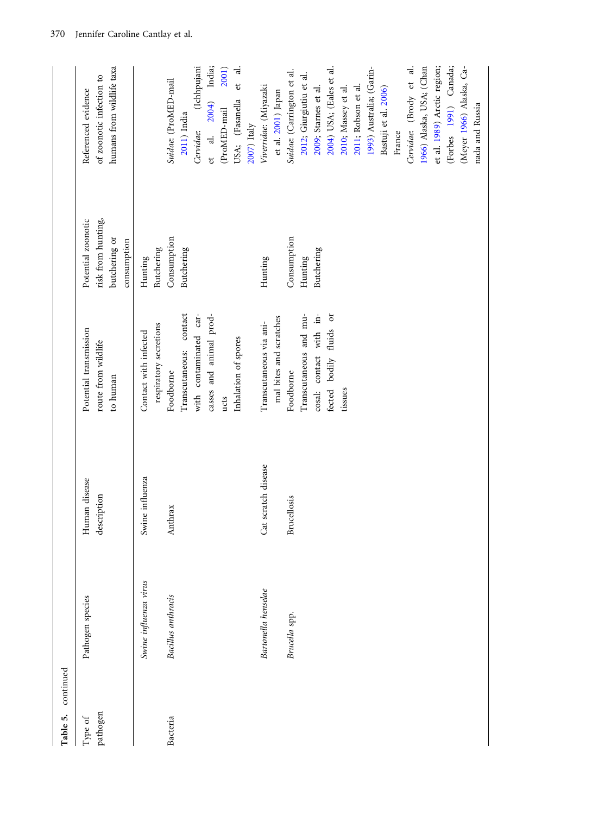| continued<br>Table 5. |                                             |                              |                                                                                                                                                      |                                                                          |                                                                                                                                                                                                                                                                                                                                                                                        |
|-----------------------|---------------------------------------------|------------------------------|------------------------------------------------------------------------------------------------------------------------------------------------------|--------------------------------------------------------------------------|----------------------------------------------------------------------------------------------------------------------------------------------------------------------------------------------------------------------------------------------------------------------------------------------------------------------------------------------------------------------------------------|
| pathogen<br>Type of   | Pathogen species                            | Human disease<br>description | Potential transmission<br>route from wildlife<br>to human                                                                                            | Potential zoonotic<br>risk from hunting,<br>butchering or<br>consumption | humans from wildlife taxa<br>of zoonotic infection to<br>Referenced evidence                                                                                                                                                                                                                                                                                                           |
| Bacteria              | Swine influenza virus<br>Bacillus anthracis | Swine influenza<br>Anthrax   | Transcutaneous: contact<br>with contaminated car-<br>casses and animal prod-<br>respiratory secretions<br>Contact with infected<br>Foodborne<br>ucts | Consumption<br>Butchering<br>Butchering<br>Hunting                       | Cervidae: (Ichhpujani<br>et al. 2004) India;<br>2001)<br>Suidae: (ProMED-mail<br>(ProMED-mail<br>$2011)$ India                                                                                                                                                                                                                                                                         |
|                       | Bartonella henselae                         | scratch disease<br>Cat       | Transcutaneous via ani-<br>Inhalation of spores                                                                                                      | Hunting                                                                  | USA; (Fasanella et al.<br>Viverridae: (Miyazaki<br>$2007)$ Italy                                                                                                                                                                                                                                                                                                                       |
|                       | Brucella spp.                               | <b>Brucellosis</b>           | cosal: contact with in-<br>fluids or<br>Transcutaneous and mu-<br>mal bites and scratches<br>fected bodily<br>Foodborne<br>tissues                   | Consumption<br>Butchering<br>$\rm{Hunting}$                              | (Forbes 1991) Canada;<br>et al. 1989) Arctic region;<br>(Meyer 1966) Alaska, Ca-<br>2004) USA; (Eales et al.<br>1993) Australia; (Garin-<br>Cervidae: (Brody et al.<br>1966) Alaska, USA; (Chan<br>Suidae: (Carrington et al.<br>2012; Giurgiutiu et al.<br>2011; Robson et al.<br>Bastuji et al. 2006)<br>2009; Starnes et al.<br>2010; Massey et al.<br>et al. 2001) Japan<br>France |
|                       |                                             |                              |                                                                                                                                                      |                                                                          | nada and Russia                                                                                                                                                                                                                                                                                                                                                                        |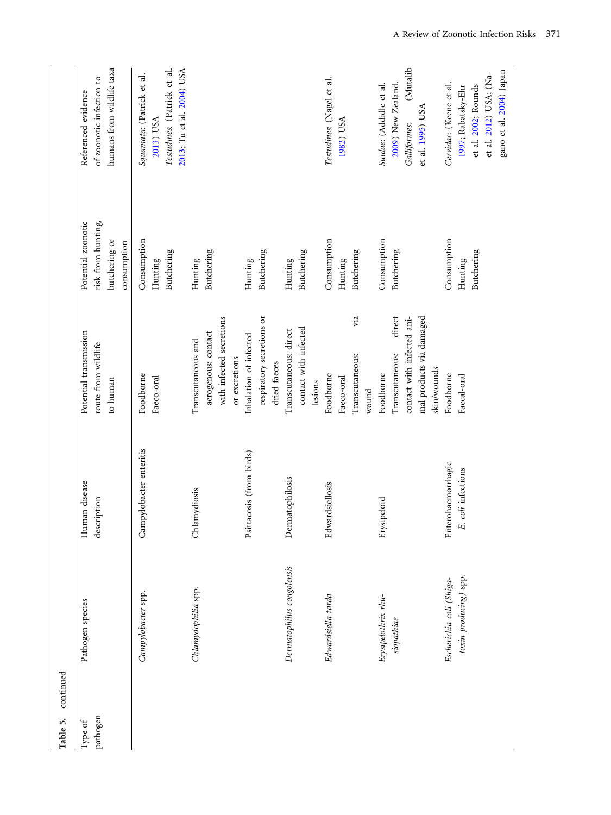| continued<br>Table 5. |                                                   |                                          |                                                                                                                 |                                                                          |                                                                                                                           |
|-----------------------|---------------------------------------------------|------------------------------------------|-----------------------------------------------------------------------------------------------------------------|--------------------------------------------------------------------------|---------------------------------------------------------------------------------------------------------------------------|
| pathogen<br>Type of   | Pathogen species                                  | Human disease<br>description             | Potential transmission<br>route from wildlife<br>to human                                                       | risk from hunting,<br>Potential zoonotic<br>butchering or<br>consumption | humans from wildlife taxa<br>of zoonotic infection to<br>Referenced evidence                                              |
|                       | Campylobacter spp.                                | Campylobacter enteritis                  | Foodborne<br>Faeco-oral                                                                                         | Consumption<br>Butchering<br>Hunting                                     | 2013; Tu et al. 2004) USA<br>Testudines: (Patrick et al.<br>Squamata: (Patrick et al.<br>2013) USA                        |
|                       | Chlamydophilia spp.                               | Chlamydiosis                             | with infected secretions<br>aerogenous: contact<br>Transcutaneous and<br>or excretions                          | Butchering<br>Hunting                                                    |                                                                                                                           |
|                       |                                                   | Psittacosis (from birds)                 | respiratory secretions or<br>Inhalation of infected<br>dried faeces                                             | <b>Butchering</b><br>Hunting                                             |                                                                                                                           |
|                       | Dermatophilus congolensis                         | Dermatophilosis                          | contact with infected<br>Transcutaneous: direct<br>lesions                                                      | Butchering<br>Hunting                                                    |                                                                                                                           |
|                       | Edwardsiella tarda                                | Edwardsiellosis                          | via<br>Transcutaneous:<br>Foodborne<br>Faeco-oral<br>wound                                                      | Consumption<br>Butchering<br>Hunting                                     | Testudines: (Nagel et al.<br>1982) USA                                                                                    |
|                       | Erysipelothrix rhu-<br>siopathiae                 | Erysipeloid                              | direct<br>contact with infected ani-<br>mal products via damaged<br>Transcutaneous:<br>skin/wounds<br>Foodborne | Consumption<br><b>Butchering</b>                                         | (Mutalib<br>2009) New Zealand.<br>Suidae: (Addidle et al.<br>et al. 1995) USA<br>Galliformes:                             |
|                       | toxin producing) spp.<br>Escherichia coli (Shiga- | Enterohaemorrhagic<br>E. coli infections | Foodborne<br>Faecal-oral                                                                                        | Consumption<br>Butchering<br>Hunting                                     | gano et al. 2004) Japan<br>et al. 2012) USA; (Na-<br>Cervidae: (Keene et al.<br>et al. 2002; Rounds<br>1997; Rabatsky-Ehr |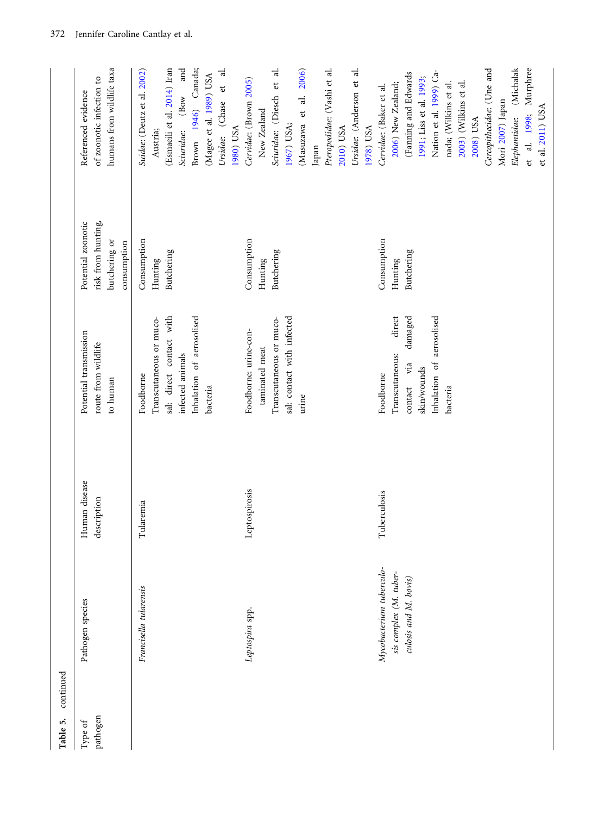| pathogen<br>Type of | Pathogen species                                                            | Human disease<br>description | Potential transmission<br>route from wildlife<br>to human                                                                     | Potential zoonotic<br>risk from hunting,<br>butchering or<br>consumption | humans from wildlife taxa<br>of zoonotic infection to<br>Referenced evidence                                                                                                                                                                                                                                       |
|---------------------|-----------------------------------------------------------------------------|------------------------------|-------------------------------------------------------------------------------------------------------------------------------|--------------------------------------------------------------------------|--------------------------------------------------------------------------------------------------------------------------------------------------------------------------------------------------------------------------------------------------------------------------------------------------------------------|
|                     | Francisella tularensis                                                      | Tularemia                    | sal: direct contact with<br>Inhalation of aerosolised<br>Transcutaneous or muco-<br>infected animals<br>Foodborne<br>bacteria | Consumption<br>Butchering<br>Hunting                                     | and<br>Brown 1946) Canada;<br>(Esmaeili et al. 2014) Iran<br>$\vec{a}$<br>Suidae: (Deutz et al. 2002)<br>(Magee et al. 1989) USA<br>Ursidae: (Chase et<br>Sciuridae: (Bow<br>1980) USA<br>Austria;                                                                                                                 |
|                     | Leptospira spp.                                                             | Leptospirosis                | sal: contact with infected<br>Transcutaneous or muco-<br>Foodborne: urine-con-<br>taminated meat<br>urine                     | Consumption<br>Butchering<br>Hunting                                     | Sciuridae: (Diesch et al.<br>(Masuzawa et al. 2006)<br>Ursidae: (Anderson et al.<br>Pteropodidae: (Vashi et al.<br>Cervidae: (Brown 2005)<br>New Zealand<br>1967) USA;<br>1978) USA<br>2010) USA<br>Japan                                                                                                          |
|                     | Mycobacterium tuberculo-<br>sis complex (M. tuber-<br>culosis and M. bovis) | Tuberculosis                 | damaged<br>direct<br>Inhalation of aerosolised<br>Transcutaneous:<br>via<br>skin/wounds<br>Foodborne<br>contact<br>bacteria   | Consumption<br>Butchering<br>Hunting                                     | Elephantidae: (Michalak<br>Cercopithecidae: (Une and<br>et al. 1998; Murphree<br>Nation et al. 1999) Ca-<br>(Fanning and Edwards<br>1991; Liss et al. 1993;<br>2006) New Zealand;<br>2003) (Wilkins et al.<br>Cervidae: (Baker et al.<br>nada; (Wilkins et al<br>Mori 2007) Japan<br>et al. 2011) USA<br>2008) USA |
|                     |                                                                             |                              |                                                                                                                               |                                                                          |                                                                                                                                                                                                                                                                                                                    |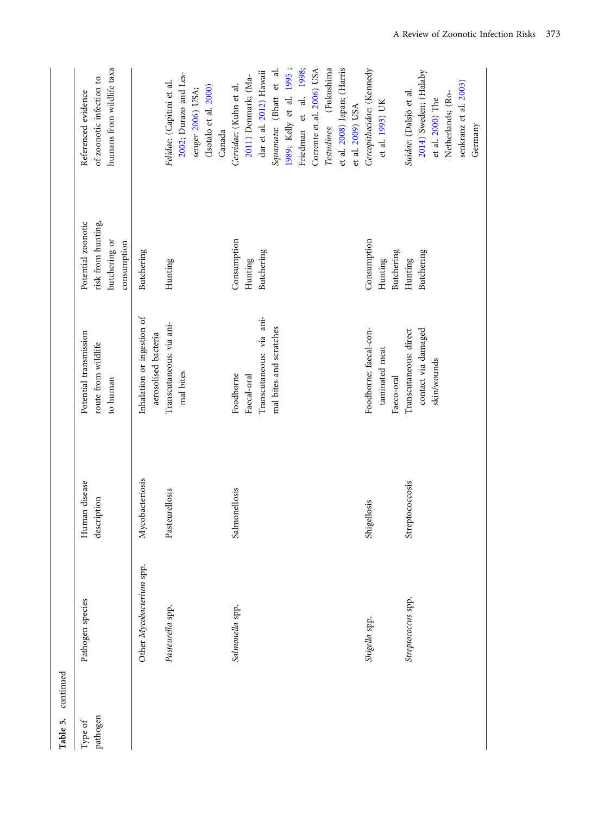| pathogen<br>Type of | Pathogen species         | Human disease<br>description | Potential transmission<br>route from wildlife<br>to human    | risk from hunting,<br>Potential zoonotic<br>butchering or<br>consumption | humans from wildlife taxa<br>of zoonotic infection to<br>Referenced evidence                                                                                                           |
|---------------------|--------------------------|------------------------------|--------------------------------------------------------------|--------------------------------------------------------------------------|----------------------------------------------------------------------------------------------------------------------------------------------------------------------------------------|
|                     | Other Mycobacterium spp. | Mycobacteriosis              | Inhalation or ingestion of<br>aerosolised bacteria           | Butchering                                                               |                                                                                                                                                                                        |
|                     | Pasteurella spp.         | Pasteurellosis               | Transcutaneous: via ani-<br>mal bites                        | $\rm{Hunting}$                                                           | 2002; Durazo and Les-<br>Felidae: (Capitini et al.<br>(Isotalo et al. 2000)<br>senger 2006) USA;<br>Canada                                                                             |
|                     | Salmonella spp.          | Salmonellosis                | Foodborne<br>Faecal-oral                                     | Consumption<br>Hunting                                                   | 2011) Denmark; (Ma-<br>Cervidae: (Kuhn et al.                                                                                                                                          |
|                     |                          |                              | Transcutaneous: via ani-                                     | Butchering                                                               | dar et al. 2012) Hawaii                                                                                                                                                                |
|                     |                          |                              | mal bites and scratches                                      |                                                                          | 1989; Kelly et al. 1995;<br>Friedman et al. 1998;<br>Corrente et al. 2006) USA<br>Testudines: (Fukushima<br>et al. 2008) Japan; (Harris<br>Squamata: (Bhatt et al.<br>et al. 2009) USA |
|                     | Shigella spp.            | Shigellosis                  | Foodborne: faecal-con-<br>taminated meat<br>Faeco-oral       | Consumption<br>Butchering<br>$H$ unting                                  | Cercopithecidae: (Kennedy<br>et al. 1993) UK                                                                                                                                           |
|                     | Streptococcus spp.       | Streptococcosis              | contact via damaged<br>Transcutaneous: direct<br>skin/wounds | Butchering<br>Hunting                                                    | 2014) Sweden; (Halaby<br>senkranz et al. 2003)<br>Suidae: (Dalsjö et al.<br>Netherlands; (Ro-<br>et al. 2000) The<br>Germany                                                           |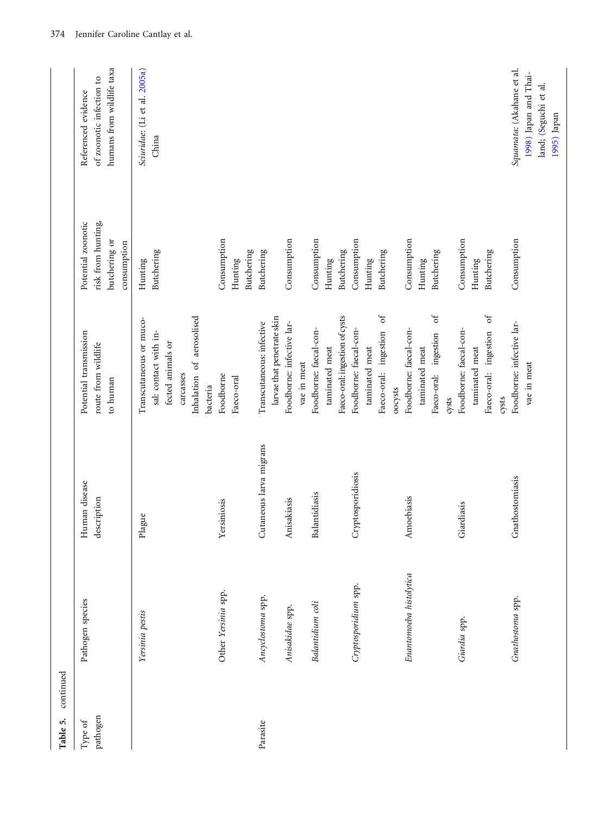| Table 5.            | continued               |                              |                                                                                                                             |                                                                          |                                                                                            |
|---------------------|-------------------------|------------------------------|-----------------------------------------------------------------------------------------------------------------------------|--------------------------------------------------------------------------|--------------------------------------------------------------------------------------------|
| pathogen<br>Type of | Pathogen species        | Human disease<br>description | Potential transmission<br>route from wildlife<br>to human                                                                   | risk from hunting,<br>Potential zoonotic<br>butchering or<br>consumption | humans from wildlife taxa<br>of zoonotic infection to<br>Referenced evidence               |
|                     | Yersinia pestis         | Plague                       | Inhalation of aerosolised<br>Transcutaneous or muco-<br>sal: contact with in-<br>fected animals or<br>carcasses<br>bacteria | Butchering<br>Hunting                                                    | Sciuridae: (Li et al. 2005a)<br>China                                                      |
|                     | Other Yersinia spp.     | Yersiniosis                  | Foodborne<br>Faeco-oral                                                                                                     | Consumption<br>Butchering<br>Hunting                                     |                                                                                            |
| Parasite            | Ancyclostoma spp.       | Cutaneous larva migrans      | larvae that penetrate skin<br>Transcutaneous: infective                                                                     | Butchering                                                               |                                                                                            |
|                     | Anisakidae spp.         | Anisakiasis                  | Foodborne: infective lar-<br>vae in meat                                                                                    | Consumption                                                              |                                                                                            |
|                     | Balantidium coli        | <b>Balantidiasis</b>         | Faeco-oral: ingestion of cysts<br>Foodborne: faecal-con-<br>taminated meat                                                  | Consumption<br><b>Butchering</b><br>Hunting                              |                                                                                            |
|                     | Cryptosporidium spp.    | Cryptosporidiosis            | $\mathfrak{o}\mathfrak{f}$<br>Foodborne: faecal-con-<br>Faeco-oral: ingestion<br>taminated meat<br>oocysts                  | Consumption<br>Butchering<br>Hunting                                     |                                                                                            |
|                     | Enantomoeba histolytica | Amoebiasis                   | $\sigma$<br>Foodborne: faecal-con-<br>Faeco-oral: ingestion<br>taminated meat<br>cysts                                      | Consumption<br>Butchering<br>Hunting                                     |                                                                                            |
|                     | Giardia spp.            | Giardiasis                   | Faeco-oral: ingestion of<br>Foodborne: faecal-con-<br>taminated meat<br>cysts                                               | Consumption<br>Butchering<br>Hunting                                     |                                                                                            |
|                     | Gnathostoma spp.        | Gnathostomiasis              | Foodborne: infective lar-<br>vae in meat                                                                                    | Consumption                                                              | Squamata: (Akahane et al.<br>1998) Japan and Thai-<br>land; (Seguchi et al.<br>1995) Japan |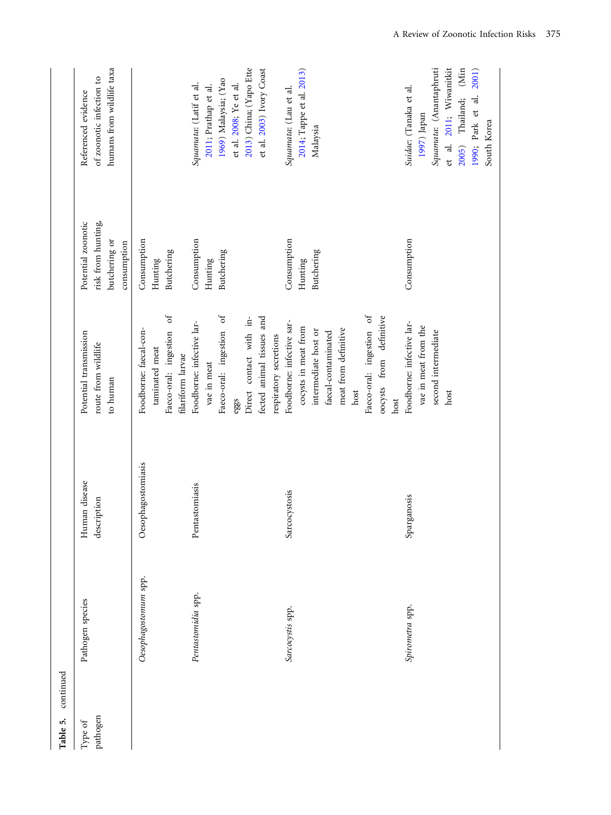| Type of  | Pathogen species     | Human disease      | Potential transmission          | Potential zoonotic                  | Referenced evidence                                   |
|----------|----------------------|--------------------|---------------------------------|-------------------------------------|-------------------------------------------------------|
| pathogen |                      | description        | route from wildlife<br>to human | risk from hunting,<br>butchering or | humans from wildlife taxa<br>of zoonotic infection to |
|          |                      |                    |                                 | consumption                         |                                                       |
|          | Oesophagostomum spp. | Oesophagostomiasis | Foodborne: faecal-con-          | Consumption                         |                                                       |
|          |                      |                    | taminated meat                  | Hunting                             |                                                       |
|          |                      |                    | Faeco-oral: ingestion of        | <b>Butchering</b>                   |                                                       |
|          |                      |                    | filariform larvae               |                                     |                                                       |
|          | Pentastomidia spp.   | Pentastomiasis     | Foodborne: infective lar-       | Consumption                         | Squamata: (Latif et al.                               |
|          |                      |                    | vae in meat                     | Hunting                             | 2011; Prathap et al.                                  |
|          |                      |                    | Faeco-oral: ingestion of        | Butchering                          | 1969) Malaysia; (Yao                                  |
|          |                      |                    | eggs                            |                                     | et al. 2008; Ye et al.                                |
|          |                      |                    | Direct contact with in-         |                                     | 2013) China; (Yapo Ette                               |
|          |                      |                    | fected animal tissues and       |                                     | et al. 2003) Ivory Coast                              |
|          |                      |                    | respiratory secretions          |                                     |                                                       |
|          | Sarcocystis spp.     | Sarcocystosis      | Foodborne: infective sar-       | Consumption                         | Squamata: (Lau et al.                                 |
|          |                      |                    | cocysts in meat from            | Hunting                             | 2014; Tappe et al. 2013)                              |
|          |                      |                    | intermediate host or            | Butchering                          | Malaysia                                              |
|          |                      |                    | faecal-contaminated             |                                     |                                                       |
|          |                      |                    | meat from definitive            |                                     |                                                       |
|          |                      |                    | host                            |                                     |                                                       |
|          |                      |                    | Faeco-oral: ingestion of        |                                     |                                                       |
|          |                      |                    | oocysts from definitive         |                                     |                                                       |
|          |                      |                    | host                            |                                     |                                                       |
|          | Spirometra spp.      | Sparganosis        | Foodborne: infective lar-       | Consumption                         | Suidae: (Tanaka et al.                                |
|          |                      |                    | vae in meat from the            |                                     | 1997) ${\rm Japan}$                                   |
|          |                      |                    | second intermediate             |                                     | Squamata: (Anantaphruti                               |
|          |                      |                    | host                            |                                     | et al. 2011; Wiwanitkit                               |
|          |                      |                    |                                 |                                     | 2005) Thailand; (Min                                  |
|          |                      |                    |                                 |                                     | 1990; Park et al. 2001)                               |
|          |                      |                    |                                 |                                     | South Korea                                           |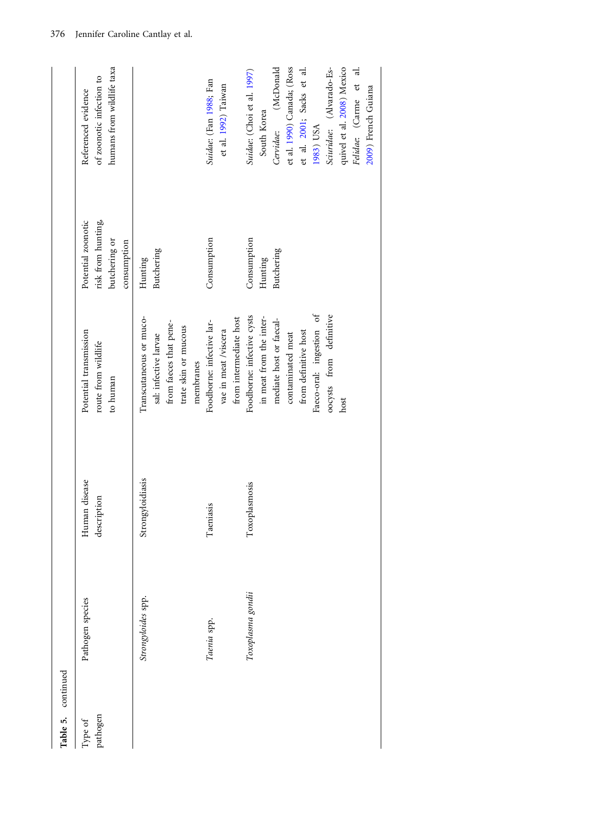| Table 5.            | continued          |                              |                                                                                                                                                                                              |                                                                          |                                                                                                                                                                                                                                                        |
|---------------------|--------------------|------------------------------|----------------------------------------------------------------------------------------------------------------------------------------------------------------------------------------------|--------------------------------------------------------------------------|--------------------------------------------------------------------------------------------------------------------------------------------------------------------------------------------------------------------------------------------------------|
| pathogen<br>Type of | Pathogen species   | Human disease<br>description | Potential transmission<br>route from wildlife<br>to human                                                                                                                                    | risk from hunting,<br>Potential zoonotic<br>butchering or<br>consumption | humans from wildlife taxa<br>of zoonotic infection to<br>Referenced evidence                                                                                                                                                                           |
|                     | Strongyloides spp. | Strongyloidiasis             | Transcutaneous or muco-<br>from faeces that pene-<br>trate skin or mucous<br>sal: infective larvae<br>membranes                                                                              | Butchering<br>Hunting                                                    |                                                                                                                                                                                                                                                        |
|                     | Taenia spp.        | Taeniasis                    | from intermediate host<br>Foodborne: infective lar-<br>vae in meat /viscera                                                                                                                  | Consumption                                                              | Suidae: (Fan 1988; Fan<br>et al. 1992) Taiwan                                                                                                                                                                                                          |
|                     | Toxoplasma gondii  | Toxoplasmosis                | Faeco-oral: ingestion of<br>oocysts from definitive<br>Foodborne: infective cysts<br>in meat from the inter-<br>mediate host or faecal-<br>from definitive host<br>contaminated meat<br>host | Consumption<br><b>Butchering</b><br>Hunting                              | et al. 1990) Canada; (Ross<br>(McDonald<br>Felidae: (Carme et al.<br>et al. 2001; Sacks et al.<br>quivel et al. 2008) Mexico<br>Sciuridae: (Alvarado-Es-<br>Suidae: (Choi et al. 1997)<br>2009) French Guiana<br>South Korea<br>Cervidae:<br>1983) USA |
|                     |                    |                              |                                                                                                                                                                                              |                                                                          |                                                                                                                                                                                                                                                        |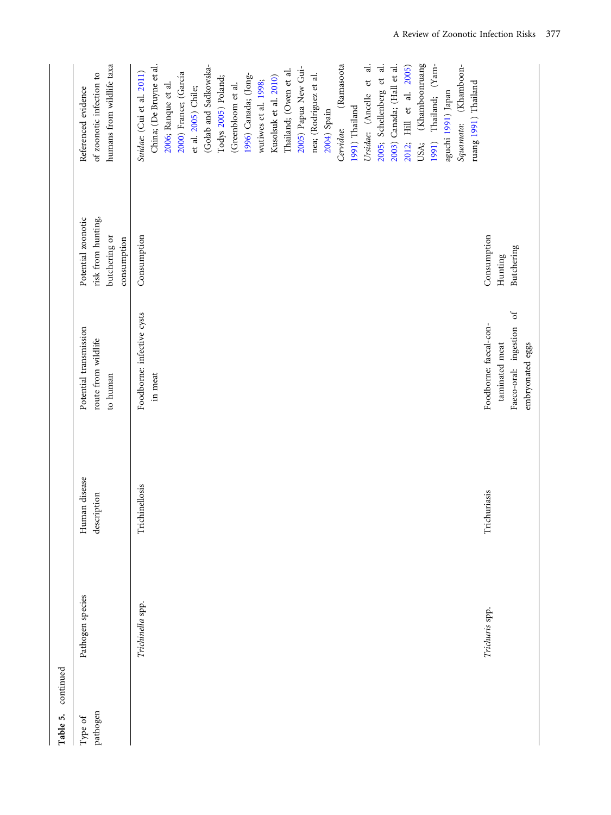| continued<br>Table 5. |                  |                              |                                                                                                         |                                                                          |                                                                                                                                                                                                                                                                                                                                                                                                                                                                                                                                                                                                                                                              |
|-----------------------|------------------|------------------------------|---------------------------------------------------------------------------------------------------------|--------------------------------------------------------------------------|--------------------------------------------------------------------------------------------------------------------------------------------------------------------------------------------------------------------------------------------------------------------------------------------------------------------------------------------------------------------------------------------------------------------------------------------------------------------------------------------------------------------------------------------------------------------------------------------------------------------------------------------------------------|
| pathogen<br>Type of   | Pathogen species | Human disease<br>description | Potential transmission<br>route from wildlife<br>to human                                               | risk from hunting,<br>Potential zoonotic<br>butchering or<br>consumption | humans from wildlife taxa<br>of zoonotic infection to<br>Referenced evidence                                                                                                                                                                                                                                                                                                                                                                                                                                                                                                                                                                                 |
|                       | Trichinella spp. | Trichinellosis               | Foodborne: infective cysts<br>in meat                                                                   | Consumption                                                              | (Ramasoota<br>USA; (Khamboonruang<br>2003) Canada; (Hall et al.<br>Squamata: (Khamboon-<br>China; (De Bruyne et al.<br>(Gołab and Sadkowska-<br>2005; Schellenberg et al.<br>2012; Hill et al. 2005)<br>1991) Thailand; (Yam-<br>ಸ<br>2005) Papua New Gui-<br>Thailand; (Owen et al.<br>Suidae: (Cui et al. 2011)<br>2000) France; (García<br>nea; (Rodríguez et al.<br>1996) Canada; (Jong-<br>Kusolsuk et al. 2010)<br>Todys 2005) Poland;<br>Ursidae: (Ancelle et<br>wutiwes et al. 1998;<br>ruang 1991) Thailand<br>2006; Ranque et al.<br>(Greenbloom et al.<br>et al. 2005) Chile;<br>aguchi 1991) Japan<br>1991) Thailand<br>2004) Spain<br>Cervidae: |
|                       | Trichuris spp.   | Trichuriasis                 | $\mathfrak{h}$<br>Foodborne: faecal-con-<br>Faeco-oral: ingestion<br>taminated meat<br>embryonated eggs | Consumption<br>Butchering<br>Hunting                                     |                                                                                                                                                                                                                                                                                                                                                                                                                                                                                                                                                                                                                                                              |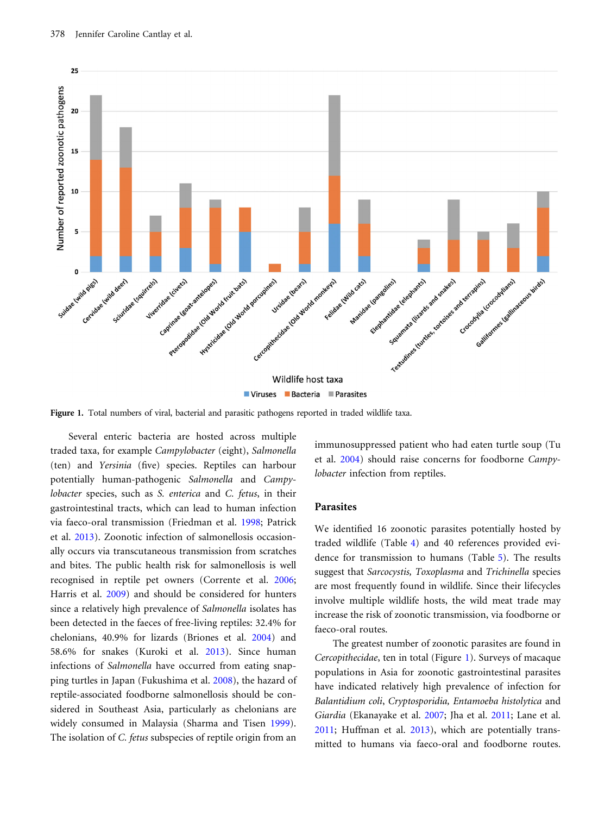<span id="page-17-0"></span>

Figure 1. Total numbers of viral, bacterial and parasitic pathogens reported in traded wildlife taxa.

Several enteric bacteria are hosted across multiple traded taxa, for example Campylobacter (eight), Salmonella (ten) and Yersinia (five) species. Reptiles can harbour potentially human-pathogenic Salmonella and Campylobacter species, such as S. enterica and C. fetus, in their gastrointestinal tracts, which can lead to human infection via faeco-oral transmission (Friedman et al. [1998](#page-22-0); Patrick et al. [2013\)](#page-25-0). Zoonotic infection of salmonellosis occasionally occurs via transcutaneous transmission from scratches and bites. The public health risk for salmonellosis is well recognised in reptile pet owners (Corrente et al. [2006;](#page-21-0) Harris et al. [2009](#page-23-0)) and should be considered for hunters since a relatively high prevalence of Salmonella isolates has been detected in the faeces of free-living reptiles: 32.4% for chelonians, 40.9% for lizards (Briones et al. [2004\)](#page-21-0) and 58.6% for snakes (Kuroki et al. [2013\)](#page-24-0). Since human infections of Salmonella have occurred from eating snapping turtles in Japan (Fukushima et al. [2008](#page-22-0)), the hazard of reptile-associated foodborne salmonellosis should be considered in Southeast Asia, particularly as chelonians are widely consumed in Malaysia (Sharma and Tisen [1999\)](#page-26-0). The isolation of C. fetus subspecies of reptile origin from an

immunosuppressed patient who had eaten turtle soup (Tu et al. [2004\)](#page-26-0) should raise concerns for foodborne Campylobacter infection from reptiles.

#### Parasites

We identified 16 zoonotic parasites potentially hosted by traded wildlife (Table [4\)](#page-5-0) and 40 references provided evidence for transmission to humans (Table [5\)](#page-6-0). The results suggest that Sarcocystis, Toxoplasma and Trichinella species are most frequently found in wildlife. Since their lifecycles involve multiple wildlife hosts, the wild meat trade may increase the risk of zoonotic transmission, via foodborne or faeco-oral routes.

The greatest number of zoonotic parasites are found in Cercopithecidae, ten in total (Figure 1). Surveys of macaque populations in Asia for zoonotic gastrointestinal parasites have indicated relatively high prevalence of infection for Balantidium coli, Cryptosporidia, Entamoeba histolytica and Giardia (Ekanayake et al. [2007;](#page-22-0) Jha et al. [2011;](#page-23-0) Lane et al. [2011](#page-24-0); Huffman et al. [2013](#page-23-0)), which are potentially transmitted to humans via faeco-oral and foodborne routes.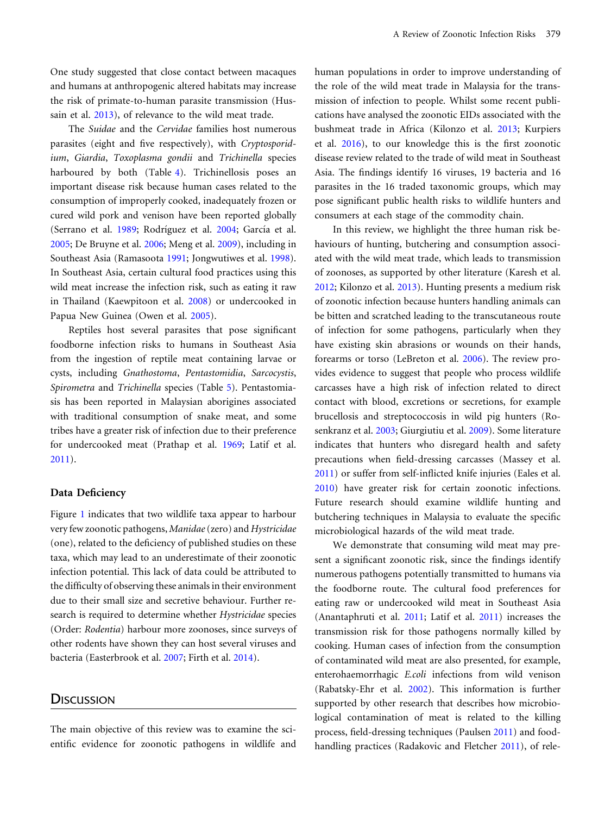One study suggested that close contact between macaques and humans at anthropogenic altered habitats may increase the risk of primate-to-human parasite transmission (Hussain et al. [2013\)](#page-23-0), of relevance to the wild meat trade.

The Suidae and the Cervidae families host numerous parasites (eight and five respectively), with Cryptosporidium, Giardia, Toxoplasma gondii and Trichinella species harboured by both (Table [4\)](#page-5-0). Trichinellosis poses an important disease risk because human cases related to the consumption of improperly cooked, inadequately frozen or cured wild pork and venison have been reported globally (Serrano et al. [1989;](#page-26-0) Rodríguez et al. [2004;](#page-25-0) García et al. [2005](#page-22-0); De Bruyne et al. [2006](#page-22-0); Meng et al. [2009\)](#page-24-0), including in Southeast Asia (Ramasoota [1991](#page-25-0); Jongwutiwes et al. [1998\)](#page-23-0). In Southeast Asia, certain cultural food practices using this wild meat increase the infection risk, such as eating it raw in Thailand (Kaewpitoon et al. [2008\)](#page-23-0) or undercooked in Papua New Guinea (Owen et al. [2005](#page-25-0)).

Reptiles host several parasites that pose significant foodborne infection risks to humans in Southeast Asia from the ingestion of reptile meat containing larvae or cysts, including Gnathostoma, Pentastomidia, Sarcocystis, Spirometra and Trichinella species (Table [5](#page-6-0)). Pentastomiasis has been reported in Malaysian aborigines associated with traditional consumption of snake meat, and some tribes have a greater risk of infection due to their preference for undercooked meat (Prathap et al. [1969](#page-25-0); Latif et al. [2011](#page-24-0)).

#### Data Deficiency

Figure [1](#page-17-0) indicates that two wildlife taxa appear to harbour very few zoonotic pathogens, Manidae (zero) and Hystricidae (one), related to the deficiency of published studies on these taxa, which may lead to an underestimate of their zoonotic infection potential. This lack of data could be attributed to the difficulty of observing these animals in their environment due to their small size and secretive behaviour. Further research is required to determine whether Hystricidae species (Order: Rodentia) harbour more zoonoses, since surveys of other rodents have shown they can host several viruses and bacteria (Easterbrook et al. [2007](#page-22-0); Firth et al. [2014](#page-22-0)).

#### **DISCUSSION**

The main objective of this review was to examine the scientific evidence for zoonotic pathogens in wildlife and

human populations in order to improve understanding of the role of the wild meat trade in Malaysia for the transmission of infection to people. Whilst some recent publications have analysed the zoonotic EIDs associated with the bushmeat trade in Africa (Kilonzo et al. [2013;](#page-23-0) Kurpiers et al. [2016](#page-24-0)), to our knowledge this is the first zoonotic disease review related to the trade of wild meat in Southeast Asia. The findings identify 16 viruses, 19 bacteria and 16 parasites in the 16 traded taxonomic groups, which may pose significant public health risks to wildlife hunters and consumers at each stage of the commodity chain.

In this review, we highlight the three human risk behaviours of hunting, butchering and consumption associated with the wild meat trade, which leads to transmission of zoonoses, as supported by other literature (Karesh et al. [2012](#page-23-0); Kilonzo et al. [2013](#page-23-0)). Hunting presents a medium risk of zoonotic infection because hunters handling animals can be bitten and scratched leading to the transcutaneous route of infection for some pathogens, particularly when they have existing skin abrasions or wounds on their hands, forearms or torso (LeBreton et al. [2006\)](#page-24-0). The review provides evidence to suggest that people who process wildlife carcasses have a high risk of infection related to direct contact with blood, excretions or secretions, for example brucellosis and streptococcosis in wild pig hunters (Rosenkranz et al. [2003](#page-25-0); Giurgiutiu et al. [2009\)](#page-22-0). Some literature indicates that hunters who disregard health and safety precautions when field-dressing carcasses (Massey et al. [2011](#page-24-0)) or suffer from self-inflicted knife injuries (Eales et al. [2010](#page-22-0)) have greater risk for certain zoonotic infections. Future research should examine wildlife hunting and butchering techniques in Malaysia to evaluate the specific microbiological hazards of the wild meat trade.

We demonstrate that consuming wild meat may present a significant zoonotic risk, since the findings identify numerous pathogens potentially transmitted to humans via the foodborne route. The cultural food preferences for eating raw or undercooked wild meat in Southeast Asia (Anantaphruti et al. [2011](#page-21-0); Latif et al. [2011\)](#page-24-0) increases the transmission risk for those pathogens normally killed by cooking. Human cases of infection from the consumption of contaminated wild meat are also presented, for example, enterohaemorrhagic E.coli infections from wild venison (Rabatsky-Ehr et al. [2002](#page-25-0)). This information is further supported by other research that describes how microbiological contamination of meat is related to the killing process, field-dressing techniques (Paulsen [2011\)](#page-25-0) and foodhandling practices (Radakovic and Fletcher [2011\)](#page-25-0), of rele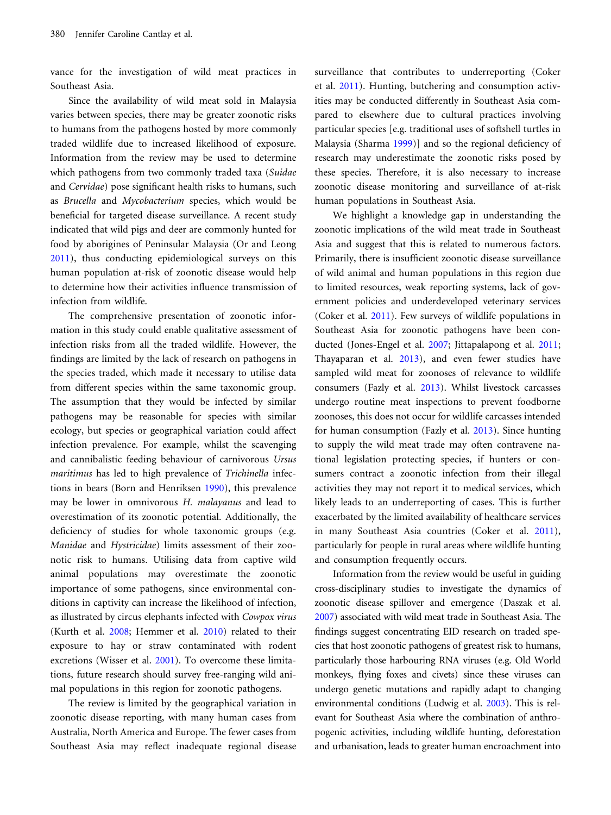vance for the investigation of wild meat practices in Southeast Asia.

Since the availability of wild meat sold in Malaysia varies between species, there may be greater zoonotic risks to humans from the pathogens hosted by more commonly traded wildlife due to increased likelihood of exposure. Information from the review may be used to determine which pathogens from two commonly traded taxa (Suidae and Cervidae) pose significant health risks to humans, such as Brucella and Mycobacterium species, which would be beneficial for targeted disease surveillance. A recent study indicated that wild pigs and deer are commonly hunted for food by aborigines of Peninsular Malaysia (Or and Leong [2011](#page-25-0)), thus conducting epidemiological surveys on this human population at-risk of zoonotic disease would help to determine how their activities influence transmission of infection from wildlife.

The comprehensive presentation of zoonotic information in this study could enable qualitative assessment of infection risks from all the traded wildlife. However, the findings are limited by the lack of research on pathogens in the species traded, which made it necessary to utilise data from different species within the same taxonomic group. The assumption that they would be infected by similar pathogens may be reasonable for species with similar ecology, but species or geographical variation could affect infection prevalence. For example, whilst the scavenging and cannibalistic feeding behaviour of carnivorous Ursus maritimus has led to high prevalence of Trichinella infections in bears (Born and Henriksen [1990\)](#page-21-0), this prevalence may be lower in omnivorous H. malayanus and lead to overestimation of its zoonotic potential. Additionally, the deficiency of studies for whole taxonomic groups (e.g. Manidae and Hystricidae) limits assessment of their zoonotic risk to humans. Utilising data from captive wild animal populations may overestimate the zoonotic importance of some pathogens, since environmental conditions in captivity can increase the likelihood of infection, as illustrated by circus elephants infected with Cowpox virus (Kurth et al. [2008](#page-24-0); Hemmer et al. [2010\)](#page-23-0) related to their exposure to hay or straw contaminated with rodent excretions (Wisser et al. [2001\)](#page-26-0). To overcome these limitations, future research should survey free-ranging wild animal populations in this region for zoonotic pathogens.

The review is limited by the geographical variation in zoonotic disease reporting, with many human cases from Australia, North America and Europe. The fewer cases from Southeast Asia may reflect inadequate regional disease

surveillance that contributes to underreporting (Coker et al. [2011\)](#page-21-0). Hunting, butchering and consumption activities may be conducted differently in Southeast Asia compared to elsewhere due to cultural practices involving particular species [e.g. traditional uses of softshell turtles in Malaysia (Sharma [1999](#page-26-0))] and so the regional deficiency of research may underestimate the zoonotic risks posed by these species. Therefore, it is also necessary to increase zoonotic disease monitoring and surveillance of at-risk human populations in Southeast Asia.

We highlight a knowledge gap in understanding the zoonotic implications of the wild meat trade in Southeast Asia and suggest that this is related to numerous factors. Primarily, there is insufficient zoonotic disease surveillance of wild animal and human populations in this region due to limited resources, weak reporting systems, lack of government policies and underdeveloped veterinary services (Coker et al. [2011\)](#page-21-0). Few surveys of wildlife populations in Southeast Asia for zoonotic pathogens have been conducted (Jones-Engel et al. [2007;](#page-23-0) Jittapalapong et al. [2011;](#page-23-0) Thayaparan et al. [2013](#page-26-0)), and even fewer studies have sampled wild meat for zoonoses of relevance to wildlife consumers (Fazly et al. [2013\)](#page-22-0). Whilst livestock carcasses undergo routine meat inspections to prevent foodborne zoonoses, this does not occur for wildlife carcasses intended for human consumption (Fazly et al. [2013](#page-22-0)). Since hunting to supply the wild meat trade may often contravene national legislation protecting species, if hunters or consumers contract a zoonotic infection from their illegal activities they may not report it to medical services, which likely leads to an underreporting of cases. This is further exacerbated by the limited availability of healthcare services in many Southeast Asia countries (Coker et al. [2011\)](#page-21-0), particularly for people in rural areas where wildlife hunting and consumption frequently occurs.

Information from the review would be useful in guiding cross-disciplinary studies to investigate the dynamics of zoonotic disease spillover and emergence (Daszak et al. [2007\)](#page-22-0) associated with wild meat trade in Southeast Asia. The findings suggest concentrating EID research on traded species that host zoonotic pathogens of greatest risk to humans, particularly those harbouring RNA viruses (e.g. Old World monkeys, flying foxes and civets) since these viruses can undergo genetic mutations and rapidly adapt to changing environmental conditions (Ludwig et al. [2003](#page-24-0)). This is relevant for Southeast Asia where the combination of anthropogenic activities, including wildlife hunting, deforestation and urbanisation, leads to greater human encroachment into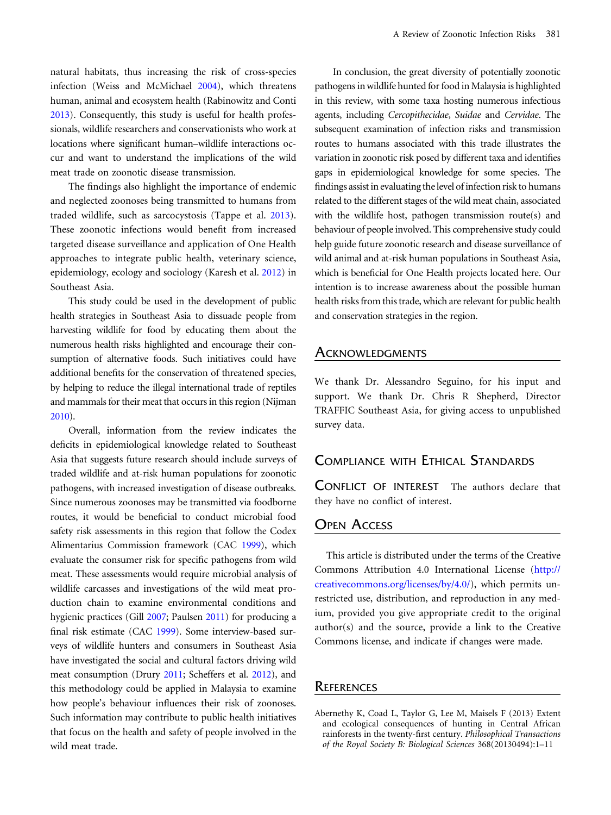<span id="page-20-0"></span>natural habitats, thus increasing the risk of cross-species infection (Weiss and McMichael [2004\)](#page-26-0), which threatens human, animal and ecosystem health (Rabinowitz and Conti [2013\)](#page-25-0). Consequently, this study is useful for health professionals, wildlife researchers and conservationists who work at locations where significant human–wildlife interactions occur and want to understand the implications of the wild meat trade on zoonotic disease transmission.

The findings also highlight the importance of endemic and neglected zoonoses being transmitted to humans from traded wildlife, such as sarcocystosis (Tappe et al. [2013\)](#page-26-0). These zoonotic infections would benefit from increased targeted disease surveillance and application of One Health approaches to integrate public health, veterinary science, epidemiology, ecology and sociology (Karesh et al. [2012\)](#page-23-0) in Southeast Asia.

This study could be used in the development of public health strategies in Southeast Asia to dissuade people from harvesting wildlife for food by educating them about the numerous health risks highlighted and encourage their consumption of alternative foods. Such initiatives could have additional benefits for the conservation of threatened species, by helping to reduce the illegal international trade of reptiles and mammals for their meat that occurs in this region (Nijman [2010](#page-25-0)).

Overall, information from the review indicates the deficits in epidemiological knowledge related to Southeast Asia that suggests future research should include surveys of traded wildlife and at-risk human populations for zoonotic pathogens, with increased investigation of disease outbreaks. Since numerous zoonoses may be transmitted via foodborne routes, it would be beneficial to conduct microbial food safety risk assessments in this region that follow the Codex Alimentarius Commission framework (CAC [1999\)](#page-21-0), which evaluate the consumer risk for specific pathogens from wild meat. These assessments would require microbial analysis of wildlife carcasses and investigations of the wild meat production chain to examine environmental conditions and hygienic practices (Gill [2007](#page-22-0); Paulsen [2011\)](#page-25-0) for producing a final risk estimate (CAC [1999\)](#page-21-0). Some interview-based surveys of wildlife hunters and consumers in Southeast Asia have investigated the social and cultural factors driving wild meat consumption (Drury [2011;](#page-22-0) Scheffers et al. [2012\)](#page-26-0), and this methodology could be applied in Malaysia to examine how people's behaviour influences their risk of zoonoses. Such information may contribute to public health initiatives that focus on the health and safety of people involved in the wild meat trade.

In conclusion, the great diversity of potentially zoonotic pathogens in wildlife hunted for food in Malaysia is highlighted in this review, with some taxa hosting numerous infectious agents, including Cercopithecidae, Suidae and Cervidae. The subsequent examination of infection risks and transmission routes to humans associated with this trade illustrates the variation in zoonotic risk posed by different taxa and identifies gaps in epidemiological knowledge for some species. The findings assist in evaluating the level of infection risk to humans related to the different stages of the wild meat chain, associated with the wildlife host, pathogen transmission route(s) and behaviour of people involved. This comprehensive study could help guide future zoonotic research and disease surveillance of wild animal and at-risk human populations in Southeast Asia, which is beneficial for One Health projects located here. Our intention is to increase awareness about the possible human health risks from this trade, which are relevant for public health and conservation strategies in the region.

## **ACKNOWLEDGMENTS**

We thank Dr. Alessandro Seguino, for his input and support. We thank Dr. Chris R Shepherd, Director TRAFFIC Southeast Asia, for giving access to unpublished survey data.

## COMPLIANCE WITH ETHICAL STANDARDS

CONFLICT OF INTEREST The authors declare that they have no conflict of interest.

## **OPEN ACCESS**

This article is distributed under the terms of the Creative Commons Attribution 4.0 International License [\(http://](http://creativecommons.org/licenses/by/4.0/) [creativecommons.org/licenses/by/4.0/](http://creativecommons.org/licenses/by/4.0/)), which permits unrestricted use, distribution, and reproduction in any medium, provided you give appropriate credit to the original author(s) and the source, provide a link to the Creative Commons license, and indicate if changes were made.

## **REFERENCES**

Abernethy K, Coad L, Taylor G, Lee M, Maisels F (2013) Extent and ecological consequences of hunting in Central African rainforests in the twenty-first century. Philosophical Transactions of the Royal Society B: Biological Sciences 368(20130494):1–11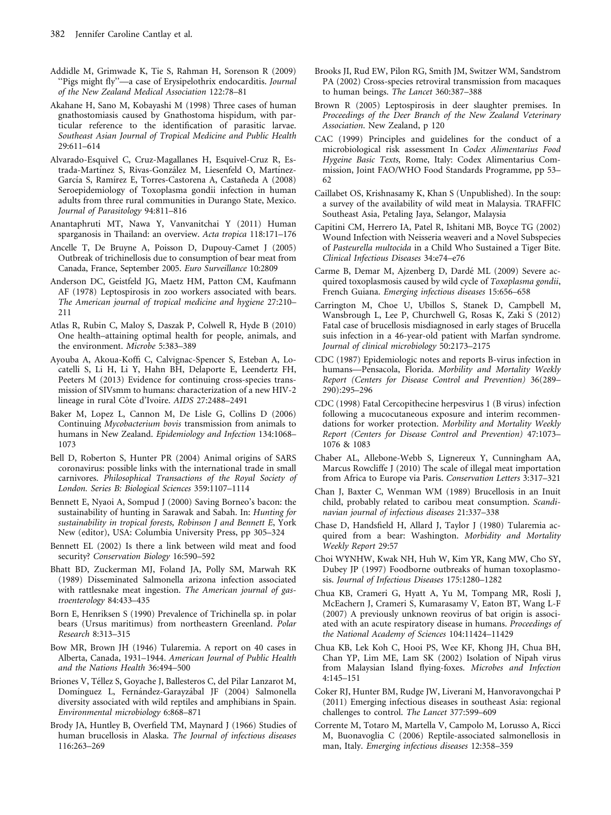- <span id="page-21-0"></span>Addidle M, Grimwade K, Tie S, Rahman H, Sorenson R (2009) ''Pigs might fly''—a case of Erysipelothrix endocarditis. Journal of the New Zealand Medical Association 122:78–81
- Akahane H, Sano M, Kobayashi M (1998) Three cases of human gnathostomiasis caused by Gnathostoma hispidum, with particular reference to the identification of parasitic larvae. Southeast Asian Journal of Tropical Medicine and Public Health 29:611–614
- Alvarado-Esquivel C, Cruz-Magallanes H, Esquivel-Cruz R, Estrada-Martínez S, Rivas-González M, Liesenfeld O, Martínez-García S, Ramírez E, Torres-Castorena A, Castañeda A (2008) Seroepidemiology of Toxoplasma gondii infection in human adults from three rural communities in Durango State, Mexico. Journal of Parasitology 94:811–816
- Anantaphruti MT, Nawa Y, Vanvanitchai Y (2011) Human sparganosis in Thailand: an overview. Acta tropica 118:171–176
- Ancelle T, De Bruyne A, Poisson D, Dupouy-Camet J (2005) Outbreak of trichinellosis due to consumption of bear meat from Canada, France, September 2005. Euro Surveillance 10:2809
- Anderson DC, Geistfeld JG, Maetz HM, Patton CM, Kaufmann AF (1978) Leptospirosis in zoo workers associated with bears. The American journal of tropical medicine and hygiene 27:210– 211
- Atlas R, Rubin C, Maloy S, Daszak P, Colwell R, Hyde B (2010) One health–attaining optimal health for people, animals, and the environment. Microbe 5:383–389
- Ayouba A, Akoua-Koffi C, Calvignac-Spencer S, Esteban A, Locatelli S, Li H, Li Y, Hahn BH, Delaporte E, Leendertz FH, Peeters M (2013) Evidence for continuing cross-species transmission of SIVsmm to humans: characterization of a new HIV-2 lineage in rural Côte d'Ivoire. AIDS 27:2488-2491
- Baker M, Lopez L, Cannon M, De Lisle G, Collins D (2006) Continuing Mycobacterium bovis transmission from animals to humans in New Zealand. Epidemiology and Infection 134:1068– 1073
- Bell D, Roberton S, Hunter PR (2004) Animal origins of SARS coronavirus: possible links with the international trade in small carnivores. Philosophical Transactions of the Royal Society of London. Series B: Biological Sciences 359:1107–1114
- Bennett E, Nyaoi A, Sompud J (2000) Saving Borneo's bacon: the sustainability of hunting in Sarawak and Sabah. In: Hunting for sustainability in tropical forests, Robinson J and Bennett E, York New (editor), USA: Columbia University Press, pp 305–324
- Bennett EL (2002) Is there a link between wild meat and food security? Conservation Biology 16:590–592
- Bhatt BD, Zuckerman MJ, Foland JA, Polly SM, Marwah RK (1989) Disseminated Salmonella arizona infection associated with rattlesnake meat ingestion. The American journal of gastroenterology 84:433–435
- Born E, Henriksen S (1990) Prevalence of Trichinella sp. in polar bears (Ursus maritimus) from northeastern Greenland. Polar Research 8:313–315
- Bow MR, Brown JH (1946) Tularemia. A report on 40 cases in Alberta, Canada, 1931–1944. American Journal of Public Health and the Nations Health 36:494–500
- Briones V, Téllez S, Goyache J, Ballesteros C, del Pilar Lanzarot M, Domínguez L, Fernández-Garayzábal JF (2004) Salmonella diversity associated with wild reptiles and amphibians in Spain. Environmental microbiology 6:868–871
- Brody JA, Huntley B, Overfield TM, Maynard J (1966) Studies of human brucellosis in Alaska. The Journal of infectious diseases 116:263–269
- Brooks JI, Rud EW, Pilon RG, Smith JM, Switzer WM, Sandstrom PA (2002) Cross-species retroviral transmission from macaques to human beings. The Lancet 360:387–388
- Brown R (2005) Leptospirosis in deer slaughter premises. In Proceedings of the Deer Branch of the New Zealand Veterinary Association. New Zealand, p 120
- CAC (1999) Principles and guidelines for the conduct of a microbiological risk assessment In Codex Alimentarius Food Hygeine Basic Texts, Rome, Italy: Codex Alimentarius Commission, Joint FAO/WHO Food Standards Programme, pp 53– 62
- Caillabet OS, Krishnasamy K, Khan S (Unpublished). In the soup: a survey of the availability of wild meat in Malaysia. TRAFFIC Southeast Asia, Petaling Jaya, Selangor, Malaysia
- Capitini CM, Herrero IA, Patel R, Ishitani MB, Boyce TG (2002) Wound Infection with Neisseria weaveri and a Novel Subspecies of Pasteurella multocida in a Child Who Sustained a Tiger Bite. Clinical Infectious Diseases 34:e74–e76
- Carme B, Demar M, Ajzenberg D, Dardé ML (2009) Severe acquired toxoplasmosis caused by wild cycle of Toxoplasma gondii, French Guiana. Emerging infectious diseases 15:656–658
- Carrington M, Choe U, Ubillos S, Stanek D, Campbell M, Wansbrough L, Lee P, Churchwell G, Rosas K, Zaki S (2012) Fatal case of brucellosis misdiagnosed in early stages of Brucella suis infection in a 46-year-old patient with Marfan syndrome. Journal of clinical microbiology 50:2173–2175
- CDC (1987) Epidemiologic notes and reports B-virus infection in humans—Pensacola, Florida. Morbility and Mortality Weekly Report (Centers for Disease Control and Prevention) 36(289– 290):295–296
- CDC (1998) Fatal Cercopithecine herpesvirus 1 (B virus) infection following a mucocutaneous exposure and interim recommendations for worker protection. Morbility and Mortality Weekly Report (Centers for Disease Control and Prevention) 47:1073– 1076 & 1083
- Chaber AL, Allebone-Webb S, Lignereux Y, Cunningham AA, Marcus Rowcliffe J (2010) The scale of illegal meat importation from Africa to Europe via Paris. Conservation Letters 3:317–321
- Chan J, Baxter C, Wenman WM (1989) Brucellosis in an Inuit child, probably related to caribou meat consumption. Scandinavian journal of infectious diseases 21:337–338
- Chase D, Handsfield H, Allard J, Taylor J (1980) Tularemia acquired from a bear: Washington. Morbidity and Mortality Weekly Report 29:57
- Choi WYNHW, Kwak NH, Huh W, Kim YR, Kang MW, Cho SY, Dubey JP (1997) Foodborne outbreaks of human toxoplasmosis. Journal of Infectious Diseases 175:1280–1282
- Chua KB, Crameri G, Hyatt A, Yu M, Tompang MR, Rosli J, McEachern J, Crameri S, Kumarasamy V, Eaton BT, Wang L-F (2007) A previously unknown reovirus of bat origin is associated with an acute respiratory disease in humans. Proceedings of the National Academy of Sciences 104:11424–11429
- Chua KB, Lek Koh C, Hooi PS, Wee KF, Khong JH, Chua BH, Chan YP, Lim ME, Lam SK (2002) Isolation of Nipah virus from Malaysian Island flying-foxes. Microbes and Infection 4:145–151
- Coker RJ, Hunter BM, Rudge JW, Liverani M, Hanvoravongchai P (2011) Emerging infectious diseases in southeast Asia: regional challenges to control. The Lancet 377:599–609
- Corrente M, Totaro M, Martella V, Campolo M, Lorusso A, Ricci M, Buonavoglia C (2006) Reptile-associated salmonellosis in man, Italy. Emerging infectious diseases 12:358–359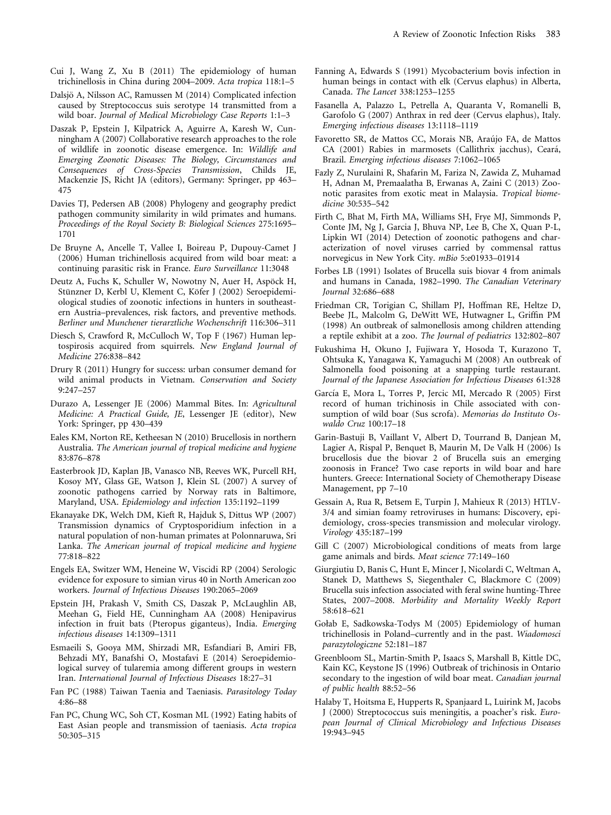- <span id="page-22-0"></span>Dalsjö A, Nilsson AC, Ramussen M (2014) Complicated infection caused by Streptococcus suis serotype 14 transmitted from a wild boar. Journal of Medical Microbiology Case Reports 1:1–3
- Daszak P, Epstein J, Kilpatrick A, Aguirre A, Karesh W, Cunningham A (2007) Collaborative research approaches to the role of wildlife in zoonotic disease emergence. In: Wildlife and Emerging Zoonotic Diseases: The Biology, Circumstances and Consequences of Cross-Species Transmission, Childs JE, Mackenzie JS, Richt JA (editors), Germany: Springer, pp 463– 475
- Davies TJ, Pedersen AB (2008) Phylogeny and geography predict pathogen community similarity in wild primates and humans. Proceedings of the Royal Society B: Biological Sciences 275:1695– 1701
- De Bruyne A, Ancelle T, Vallee I, Boireau P, Dupouy-Camet J (2006) Human trichinellosis acquired from wild boar meat: a continuing parasitic risk in France. Euro Surveillance 11:3048
- Deutz A, Fuchs K, Schuller W, Nowotny N, Auer H, Aspöck H, Stünzner D, Kerbl U, Klement C, Köfer J (2002) Seroepidemiological studies of zoonotic infections in hunters in southeastern Austria–prevalences, risk factors, and preventive methods. Berliner und Munchener tierarztliche Wochenschrift 116:306–311
- Diesch S, Crawford R, McCulloch W, Top F (1967) Human leptospirosis acquired from squirrels. New England Journal of Medicine 276:838–842
- Drury R (2011) Hungry for success: urban consumer demand for wild animal products in Vietnam. Conservation and Society 9:247–257
- Durazo A, Lessenger JE (2006) Mammal Bites. In: Agricultural Medicine: A Practical Guide, JE, Lessenger JE (editor), New York: Springer, pp 430–439
- Eales KM, Norton RE, Ketheesan N (2010) Brucellosis in northern Australia. The American journal of tropical medicine and hygiene 83:876–878
- Easterbrook JD, Kaplan JB, Vanasco NB, Reeves WK, Purcell RH, Kosoy MY, Glass GE, Watson J, Klein SL (2007) A survey of zoonotic pathogens carried by Norway rats in Baltimore, Maryland, USA. Epidemiology and infection 135:1192–1199
- Ekanayake DK, Welch DM, Kieft R, Hajduk S, Dittus WP (2007) Transmission dynamics of Cryptosporidium infection in a natural population of non-human primates at Polonnaruwa, Sri Lanka. The American journal of tropical medicine and hygiene 77:818–822
- Engels EA, Switzer WM, Heneine W, Viscidi RP (2004) Serologic evidence for exposure to simian virus 40 in North American zoo workers. Journal of Infectious Diseases 190:2065–2069
- Epstein JH, Prakash V, Smith CS, Daszak P, McLaughlin AB, Meehan G, Field HE, Cunningham AA (2008) Henipavirus infection in fruit bats (Pteropus giganteus), India. Emerging infectious diseases 14:1309–1311
- Esmaeili S, Gooya MM, Shirzadi MR, Esfandiari B, Amiri FB, Behzadi MY, Banafshi O, Mostafavi E (2014) Seroepidemiological survey of tularemia among different groups in western Iran. International Journal of Infectious Diseases 18:27–31
- Fan PC (1988) Taiwan Taenia and Taeniasis. Parasitology Today 4:86–88
- Fan PC, Chung WC, Soh CT, Kosman ML (1992) Eating habits of East Asian people and transmission of taeniasis. Acta tropica 50:305–315
- Fanning A, Edwards S (1991) Mycobacterium bovis infection in human beings in contact with elk (Cervus elaphus) in Alberta, Canada. The Lancet 338:1253–1255
- Fasanella A, Palazzo L, Petrella A, Quaranta V, Romanelli B, Garofolo G (2007) Anthrax in red deer (Cervus elaphus), Italy. Emerging infectious diseases 13:1118–1119
- Favoretto SR, de Mattos CC, Morais NB, Arau´jo FA, de Mattos CA (2001) Rabies in marmosets (Callithrix jacchus), Ceara´, Brazil. Emerging infectious diseases 7:1062–1065
- Fazly Z, Nurulaini R, Shafarin M, Fariza N, Zawida Z, Muhamad H, Adnan M, Premaalatha B, Erwanas A, Zaini C (2013) Zoonotic parasites from exotic meat in Malaysia. Tropical biomedicine 30:535–542
- Firth C, Bhat M, Firth MA, Williams SH, Frye MJ, Simmonds P, Conte JM, Ng J, Garcia J, Bhuva NP, Lee B, Che X, Quan P-L, Lipkin WI (2014) Detection of zoonotic pathogens and characterization of novel viruses carried by commensal rattus norvegicus in New York City. mBio 5:e01933–01914
- Forbes LB (1991) Isolates of Brucella suis biovar 4 from animals and humans in Canada, 1982–1990. The Canadian Veterinary Journal 32:686–688
- Friedman CR, Torigian C, Shillam PJ, Hoffman RE, Heltze D, Beebe JL, Malcolm G, DeWitt WE, Hutwagner L, Griffin PM (1998) An outbreak of salmonellosis among children attending a reptile exhibit at a zoo. The Journal of pediatrics 132:802–807
- Fukushima H, Okuno J, Fujiwara Y, Hosoda T, Kurazono T, Ohtsuka K, Yanagawa K, Yamaguchi M (2008) An outbreak of Salmonella food poisoning at a snapping turtle restaurant. Journal of the Japanese Association for Infectious Diseases 61:328
- García E, Mora L, Torres P, Jercic MI, Mercado R (2005) First record of human trichinosis in Chile associated with consumption of wild boar (Sus scrofa). Memorias do Instituto Oswaldo Cruz 100:17–18
- Garin-Bastuji B, Vaillant V, Albert D, Tourrand B, Danjean M, Lagier A, Rispal P, Benquet B, Maurin M, De Valk H (2006) Is brucellosis due the biovar 2 of Brucella suis an emerging zoonosis in France? Two case reports in wild boar and hare hunters. Greece: International Society of Chemotherapy Disease Management, pp 7–10
- Gessain A, Rua R, Betsem E, Turpin J, Mahieux R (2013) HTLV-3/4 and simian foamy retroviruses in humans: Discovery, epidemiology, cross-species transmission and molecular virology. Virology 435:187–199
- Gill C (2007) Microbiological conditions of meats from large game animals and birds. Meat science 77:149–160
- Giurgiutiu D, Banis C, Hunt E, Mincer J, Nicolardi C, Weltman A, Stanek D, Matthews S, Siegenthaler C, Blackmore C (2009) Brucella suis infection associated with feral swine hunting-Three States, 2007–2008. Morbidity and Mortality Weekly Report 58:618–621
- Gołab E, Sadkowska-Todys M (2005) Epidemiology of human trichinellosis in Poland–currently and in the past. Wiadomosci parazytologiczne 52:181–187
- Greenbloom SL, Martin-Smith P, Isaacs S, Marshall B, Kittle DC, Kain KC, Keystone JS (1996) Outbreak of trichinosis in Ontario secondary to the ingestion of wild boar meat. Canadian journal of public health 88:52–56
- Halaby T, Hoitsma E, Hupperts R, Spanjaard L, Luirink M, Jacobs J (2000) Streptococcus suis meningitis, a poacher's risk. European Journal of Clinical Microbiology and Infectious Diseases 19:943–945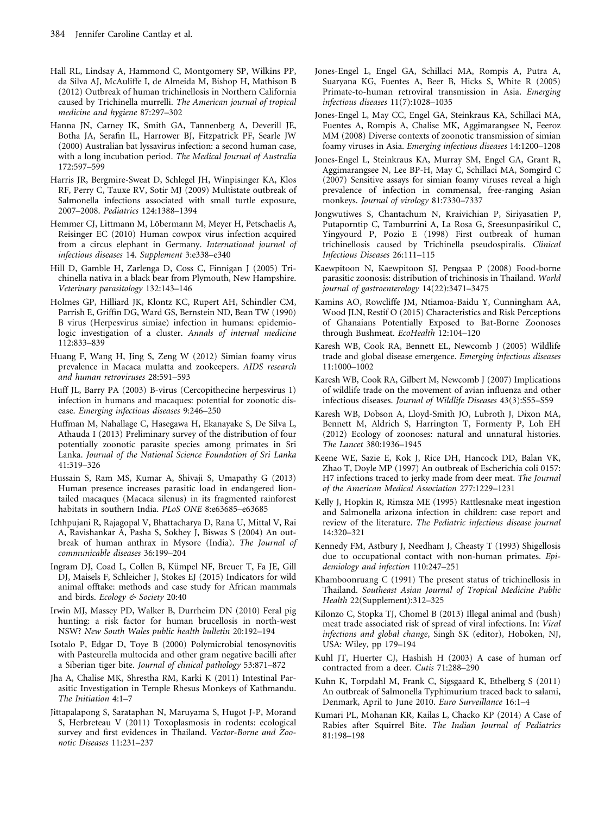- <span id="page-23-0"></span>Hall RL, Lindsay A, Hammond C, Montgomery SP, Wilkins PP, da Silva AJ, McAuliffe I, de Almeida M, Bishop H, Mathison B (2012) Outbreak of human trichinellosis in Northern California caused by Trichinella murrelli. The American journal of tropical medicine and hygiene 87:297–302
- Hanna JN, Carney IK, Smith GA, Tannenberg A, Deverill JE, Botha JA, Serafin IL, Harrower BJ, Fitzpatrick PF, Searle JW (2000) Australian bat lyssavirus infection: a second human case, with a long incubation period. The Medical Journal of Australia 172:597–599
- Harris JR, Bergmire-Sweat D, Schlegel JH, Winpisinger KA, Klos RF, Perry C, Tauxe RV, Sotir MJ (2009) Multistate outbreak of Salmonella infections associated with small turtle exposure, 2007–2008. Pediatrics 124:1388–1394
- Hemmer CJ, Littmann M, Löbermann M, Meyer H, Petschaelis A, Reisinger EC (2010) Human cowpox virus infection acquired from a circus elephant in Germany. International journal of infectious diseases 14. Supplement 3:e338–e340
- Hill D, Gamble H, Zarlenga D, Coss C, Finnigan J (2005) Trichinella nativa in a black bear from Plymouth, New Hampshire. Veterinary parasitology 132:143–146
- Holmes GP, Hilliard JK, Klontz KC, Rupert AH, Schindler CM, Parrish E, Griffin DG, Ward GS, Bernstein ND, Bean TW (1990) B virus (Herpesvirus simiae) infection in humans: epidemiologic investigation of a cluster. Annals of internal medicine 112:833–839
- Huang F, Wang H, Jing S, Zeng W (2012) Simian foamy virus prevalence in Macaca mulatta and zookeepers. AIDS research and human retroviruses 28:591–593
- Huff JL, Barry PA (2003) B-virus (Cercopithecine herpesvirus 1) infection in humans and macaques: potential for zoonotic disease. Emerging infectious diseases 9:246–250
- Huffman M, Nahallage C, Hasegawa H, Ekanayake S, De Silva L, Athauda I (2013) Preliminary survey of the distribution of four potentially zoonotic parasite species among primates in Sri Lanka. Journal of the National Science Foundation of Sri Lanka 41:319–326
- Hussain S, Ram MS, Kumar A, Shivaji S, Umapathy G (2013) Human presence increases parasitic load in endangered liontailed macaques (Macaca silenus) in its fragmented rainforest habitats in southern India. PLoS ONE 8:e63685–e63685
- Ichhpujani R, Rajagopal V, Bhattacharya D, Rana U, Mittal V, Rai A, Ravishankar A, Pasha S, Sokhey J, Biswas S (2004) An outbreak of human anthrax in Mysore (India). The Journal of communicable diseases 36:199–204
- Ingram DJ, Coad L, Collen B, Kümpel NF, Breuer T, Fa JE, Gill DJ, Maisels F, Schleicher J, Stokes EJ (2015) Indicators for wild animal offtake: methods and case study for African mammals and birds. Ecology & Society 20:40
- Irwin MJ, Massey PD, Walker B, Durrheim DN (2010) Feral pig hunting: a risk factor for human brucellosis in north-west NSW? New South Wales public health bulletin 20:192–194
- Isotalo P, Edgar D, Toye B (2000) Polymicrobial tenosynovitis with Pasteurella multocida and other gram negative bacilli after a Siberian tiger bite. Journal of clinical pathology 53:871–872
- Jha A, Chalise MK, Shrestha RM, Karki K (2011) Intestinal Parasitic Investigation in Temple Rhesus Monkeys of Kathmandu. The Initiation 4:1–7
- Jittapalapong S, Sarataphan N, Maruyama S, Hugot J-P, Morand S, Herbreteau V (2011) Toxoplasmosis in rodents: ecological survey and first evidences in Thailand. Vector-Borne and Zoonotic Diseases 11:231–237
- Jones-Engel L, Engel GA, Schillaci MA, Rompis A, Putra A, Suaryana KG, Fuentes A, Beer B, Hicks S, White R (2005) Primate-to-human retroviral transmission in Asia. Emerging infectious diseases 11(7):1028–1035
- Jones-Engel L, May CC, Engel GA, Steinkraus KA, Schillaci MA, Fuentes A, Rompis A, Chalise MK, Aggimarangsee N, Feeroz MM (2008) Diverse contexts of zoonotic transmission of simian foamy viruses in Asia. Emerging infectious diseases 14:1200–1208
- Jones-Engel L, Steinkraus KA, Murray SM, Engel GA, Grant R, Aggimarangsee N, Lee BP-H, May C, Schillaci MA, Somgird C (2007) Sensitive assays for simian foamy viruses reveal a high prevalence of infection in commensal, free-ranging Asian monkeys. Journal of virology 81:7330–7337
- Jongwutiwes S, Chantachum N, Kraivichian P, Siriyasatien P, Putaporntip C, Tamburrini A, La Rosa G, Sreesunpasirikul C, Yingyourd P, Pozio E (1998) First outbreak of human trichinellosis caused by Trichinella pseudospiralis. Clinical Infectious Diseases 26:111–115
- Kaewpitoon N, Kaewpitoon SJ, Pengsaa P (2008) Food-borne parasitic zoonosis: distribution of trichinosis in Thailand. World journal of gastroenterology 14(22):3471–3475
- Kamins AO, Rowcliffe JM, Ntiamoa-Baidu Y, Cunningham AA, Wood JLN, Restif O (2015) Characteristics and Risk Perceptions of Ghanaians Potentially Exposed to Bat-Borne Zoonoses through Bushmeat. EcoHealth 12:104–120
- Karesh WB, Cook RA, Bennett EL, Newcomb J (2005) Wildlife trade and global disease emergence. Emerging infectious diseases 11:1000–1002
- Karesh WB, Cook RA, Gilbert M, Newcomb J (2007) Implications of wildlife trade on the movement of avian influenza and other infectious diseases. Journal of Wildlife Diseases 43(3):S55–S59
- Karesh WB, Dobson A, Lloyd-Smith JO, Lubroth J, Dixon MA, Bennett M, Aldrich S, Harrington T, Formenty P, Loh EH (2012) Ecology of zoonoses: natural and unnatural histories. The Lancet 380:1936–1945
- Keene WE, Sazie E, Kok J, Rice DH, Hancock DD, Balan VK, Zhao T, Doyle MP (1997) An outbreak of Escherichia coli 0157: H7 infections traced to jerky made from deer meat. The Journal of the American Medical Association 277:1229–1231
- Kelly J, Hopkin R, Rimsza ME (1995) Rattlesnake meat ingestion and Salmonella arizona infection in children: case report and review of the literature. The Pediatric infectious disease journal 14:320–321
- Kennedy FM, Astbury J, Needham J, Cheasty T (1993) Shigellosis due to occupational contact with non-human primates. Epidemiology and infection 110:247–251
- Khamboonruang C (1991) The present status of trichinellosis in Thailand. Southeast Asian Journal of Tropical Medicine Public Health 22(Supplement):312–325
- Kilonzo C, Stopka TJ, Chomel B (2013) Illegal animal and (bush) meat trade associated risk of spread of viral infections. In: Viral infections and global change, Singh SK (editor), Hoboken, NJ, USA: Wiley, pp 179–194
- Kuhl JT, Huerter CJ, Hashish H (2003) A case of human orf contracted from a deer. Cutis 71:288–290
- Kuhn K, Torpdahl M, Frank C, Sigsgaard K, Ethelberg S (2011) An outbreak of Salmonella Typhimurium traced back to salami, Denmark, April to June 2010. Euro Surveillance 16:1–4
- Kumari PL, Mohanan KR, Kailas L, Chacko KP (2014) A Case of Rabies after Squirrel Bite. The Indian Journal of Pediatrics 81:198–198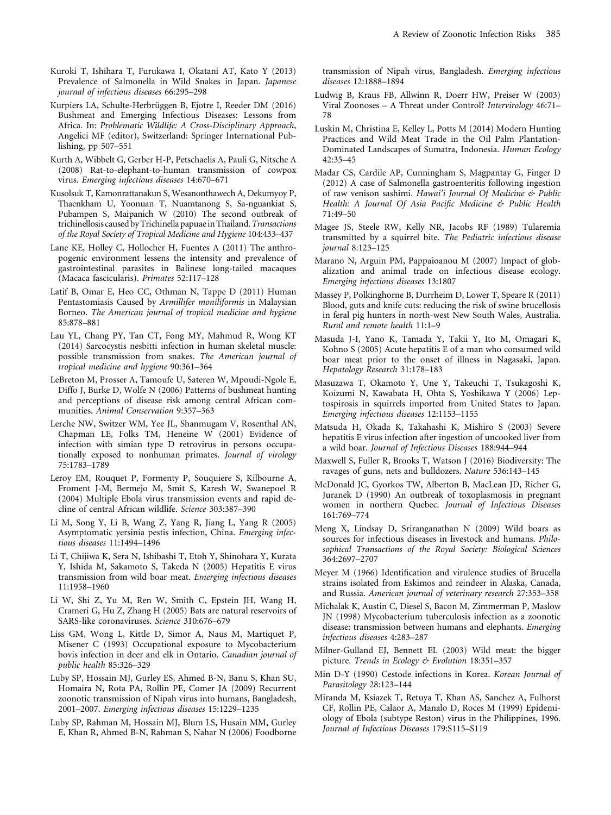- <span id="page-24-0"></span>Kuroki T, Ishihara T, Furukawa I, Okatani AT, Kato Y (2013) Prevalence of Salmonella in Wild Snakes in Japan. Japanese journal of infectious diseases 66:295–298
- Kurpiers LA, Schulte-Herbrüggen B, Ejotre I, Reeder DM (2016) Bushmeat and Emerging Infectious Diseases: Lessons from Africa. In: Problematic Wildlife: A Cross-Disciplinary Approach, Angelici MF (editor), Switzerland: Springer International Publishing, pp 507–551
- Kurth A, Wibbelt G, Gerber H-P, Petschaelis A, Pauli G, Nitsche A (2008) Rat-to-elephant-to-human transmission of cowpox virus. Emerging infectious diseases 14:670–671
- Kusolsuk T, Kamonrattanakun S, Wesanonthawech A, Dekumyoy P, Thaenkham U, Yoonuan T, Nuamtanong S, Sa-nguankiat S, Pubampen S, Maipanich W (2010) The second outbreak of trichinellosis caused by Trichinella papuae in Thailand. Transactions of the Royal Society of Tropical Medicine and Hygiene 104:433–437
- Lane KE, Holley C, Hollocher H, Fuentes A (2011) The anthropogenic environment lessens the intensity and prevalence of gastrointestinal parasites in Balinese long-tailed macaques (Macaca fascicularis). Primates 52:117–128
- Latif B, Omar E, Heo CC, Othman N, Tappe D (2011) Human Pentastomiasis Caused by Armillifer moniliformis in Malaysian Borneo. The American journal of tropical medicine and hygiene 85:878–881
- Lau YL, Chang PY, Tan CT, Fong MY, Mahmud R, Wong KT (2014) Sarcocystis nesbitti infection in human skeletal muscle: possible transmission from snakes. The American journal of tropical medicine and hygiene 90:361–364
- LeBreton M, Prosser A, Tamoufe U, Sateren W, Mpoudi-Ngole E, Diffo J, Burke D, Wolfe N (2006) Patterns of bushmeat hunting and perceptions of disease risk among central African communities. Animal Conservation 9:357–363
- Lerche NW, Switzer WM, Yee JL, Shanmugam V, Rosenthal AN, Chapman LE, Folks TM, Heneine W (2001) Evidence of infection with simian type D retrovirus in persons occupationally exposed to nonhuman primates. Journal of virology 75:1783–1789
- Leroy EM, Rouquet P, Formenty P, Souquiere S, Kilbourne A, Froment J-M, Bermejo M, Smit S, Karesh W, Swanepoel R (2004) Multiple Ebola virus transmission events and rapid decline of central African wildlife. Science 303:387–390
- Li M, Song Y, Li B, Wang Z, Yang R, Jiang L, Yang R (2005) Asymptomatic yersinia pestis infection, China. Emerging infectious diseases 11:1494–1496
- Li T, Chijiwa K, Sera N, Ishibashi T, Etoh Y, Shinohara Y, Kurata Y, Ishida M, Sakamoto S, Takeda N (2005) Hepatitis E virus transmission from wild boar meat. Emerging infectious diseases 11:1958–1960
- Li W, Shi Z, Yu M, Ren W, Smith C, Epstein JH, Wang H, Crameri G, Hu Z, Zhang H (2005) Bats are natural reservoirs of SARS-like coronaviruses. Science 310:676–679
- Liss GM, Wong L, Kittle D, Simor A, Naus M, Martiquet P, Misener C (1993) Occupational exposure to Mycobacterium bovis infection in deer and elk in Ontario. Canadian journal of public health 85:326–329
- Luby SP, Hossain MJ, Gurley ES, Ahmed B-N, Banu S, Khan SU, Homaira N, Rota PA, Rollin PE, Comer JA (2009) Recurrent zoonotic transmission of Nipah virus into humans, Bangladesh, 2001–2007. Emerging infectious diseases 15:1229–1235
- Luby SP, Rahman M, Hossain MJ, Blum LS, Husain MM, Gurley E, Khan R, Ahmed B-N, Rahman S, Nahar N (2006) Foodborne

transmission of Nipah virus, Bangladesh. Emerging infectious diseases 12:1888–1894

- Ludwig B, Kraus FB, Allwinn R, Doerr HW, Preiser W (2003) Viral Zoonoses – A Threat under Control? Intervirology 46:71– 78
- Luskin M, Christina E, Kelley L, Potts M (2014) Modern Hunting Practices and Wild Meat Trade in the Oil Palm Plantation-Dominated Landscapes of Sumatra, Indonesia. Human Ecology 42:35–45
- Madar CS, Cardile AP, Cunningham S, Magpantay G, Finger D (2012) A case of Salmonella gastroenteritis following ingestion of raw venison sashimi. Hawai'i Journal Of Medicine & Public Health: A Journal Of Asia Pacific Medicine & Public Health 71:49–50
- Magee JS, Steele RW, Kelly NR, Jacobs RF (1989) Tularemia transmitted by a squirrel bite. The Pediatric infectious disease journal 8:123–125
- Marano N, Arguin PM, Pappaioanou M (2007) Impact of globalization and animal trade on infectious disease ecology. Emerging infectious diseases 13:1807
- Massey P, Polkinghorne B, Durrheim D, Lower T, Speare R (2011) Blood, guts and knife cuts: reducing the risk of swine brucellosis in feral pig hunters in north-west New South Wales, Australia. Rural and remote health 11:1–9
- Masuda J-I, Yano K, Tamada Y, Takii Y, Ito M, Omagari K, Kohno S (2005) Acute hepatitis E of a man who consumed wild boar meat prior to the onset of illness in Nagasaki, Japan. Hepatology Research 31:178–183
- Masuzawa T, Okamoto Y, Une Y, Takeuchi T, Tsukagoshi K, Koizumi N, Kawabata H, Ohta S, Yoshikawa Y (2006) Leptospirosis in squirrels imported from United States to Japan. Emerging infectious diseases 12:1153–1155
- Matsuda H, Okada K, Takahashi K, Mishiro S (2003) Severe hepatitis E virus infection after ingestion of uncooked liver from a wild boar. Journal of Infectious Diseases 188:944–944
- Maxwell S, Fuller R, Brooks T, Watson J (2016) Biodiversity: The ravages of guns, nets and bulldozers. Nature 536:143–145
- McDonald JC, Gyorkos TW, Alberton B, MacLean JD, Richer G, Juranek D (1990) An outbreak of toxoplasmosis in pregnant women in northern Quebec. Journal of Infectious Diseases 161:769–774
- Meng X, Lindsay D, Sriranganathan N (2009) Wild boars as sources for infectious diseases in livestock and humans. Philosophical Transactions of the Royal Society: Biological Sciences 364:2697–2707
- Meyer M (1966) Identification and virulence studies of Brucella strains isolated from Eskimos and reindeer in Alaska, Canada, and Russia. American journal of veterinary research 27:353–358
- Michalak K, Austin C, Diesel S, Bacon M, Zimmerman P, Maslow JN (1998) Mycobacterium tuberculosis infection as a zoonotic disease: transmission between humans and elephants. Emerging infectious diseases 4:283–287
- Milner-Gulland EJ, Bennett EL (2003) Wild meat: the bigger picture. Trends in Ecology & Evolution 18:351–357
- Min D-Y (1990) Cestode infections in Korea. Korean Journal of Parasitology 28:123–144
- Miranda M, Ksiazek T, Retuya T, Khan AS, Sanchez A, Fulhorst CF, Rollin PE, Calaor A, Manalo D, Roces M (1999) Epidemiology of Ebola (subtype Reston) virus in the Philippines, 1996. Journal of Infectious Diseases 179:S115–S119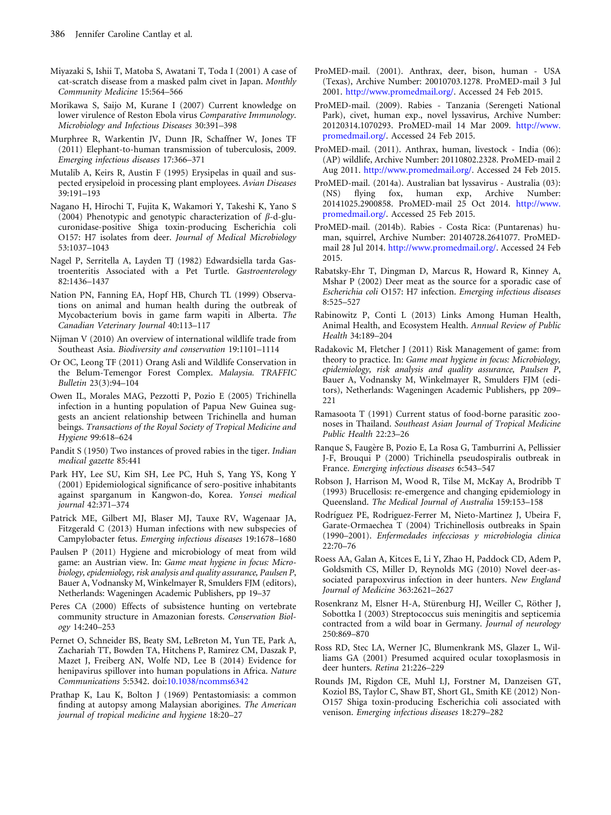- <span id="page-25-0"></span>Miyazaki S, Ishii T, Matoba S, Awatani T, Toda I (2001) A case of cat-scratch disease from a masked palm civet in Japan. Monthly Community Medicine 15:564–566
- Morikawa S, Saijo M, Kurane I (2007) Current knowledge on lower virulence of Reston Ebola virus Comparative Immunology. Microbiology and Infectious Diseases 30:391–398
- Murphree R, Warkentin JV, Dunn JR, Schaffner W, Jones TF (2011) Elephant-to-human transmission of tuberculosis, 2009. Emerging infectious diseases 17:366–371
- Mutalib A, Keirs R, Austin F (1995) Erysipelas in quail and suspected erysipeloid in processing plant employees. Avian Diseases 39:191–193
- Nagano H, Hirochi T, Fujita K, Wakamori Y, Takeshi K, Yano S (2004) Phenotypic and genotypic characterization of  $\beta$ -d-glucuronidase-positive Shiga toxin-producing Escherichia coli O157: H7 isolates from deer. Journal of Medical Microbiology 53:1037–1043
- Nagel P, Serritella A, Layden TJ (1982) Edwardsiella tarda Gastroenteritis Associated with a Pet Turtle. Gastroenterology 82:1436–1437
- Nation PN, Fanning EA, Hopf HB, Church TL (1999) Observations on animal and human health during the outbreak of Mycobacterium bovis in game farm wapiti in Alberta. The Canadian Veterinary Journal 40:113–117
- Nijman V (2010) An overview of international wildlife trade from Southeast Asia. Biodiversity and conservation 19:1101–1114
- Or OC, Leong TF (2011) Orang Asli and Wildlife Conservation in the Belum-Temengor Forest Complex. Malaysia. TRAFFIC Bulletin 23(3):94–104
- Owen IL, Morales MAG, Pezzotti P, Pozio E (2005) Trichinella infection in a hunting population of Papua New Guinea suggests an ancient relationship between Trichinella and human beings. Transactions of the Royal Society of Tropical Medicine and Hygiene 99:618–624
- Pandit S (1950) Two instances of proved rabies in the tiger. Indian medical gazette 85:441
- Park HY, Lee SU, Kim SH, Lee PC, Huh S, Yang YS, Kong Y (2001) Epidemiological significance of sero-positive inhabitants against sparganum in Kangwon-do, Korea. Yonsei medical journal 42:371–374
- Patrick ME, Gilbert MJ, Blaser MJ, Tauxe RV, Wagenaar JA, Fitzgerald C (2013) Human infections with new subspecies of Campylobacter fetus. Emerging infectious diseases 19:1678–1680
- Paulsen P (2011) Hygiene and microbiology of meat from wild game: an Austrian view. In: Game meat hygiene in focus: Microbiology, epidemiology, risk analysis and quality assurance, Paulsen P, Bauer A, Vodnansky M, Winkelmayer R, Smulders FJM (editors), Netherlands: Wageningen Academic Publishers, pp 19–37
- Peres CA (2000) Effects of subsistence hunting on vertebrate community structure in Amazonian forests. Conservation Biology 14:240–253
- Pernet O, Schneider BS, Beaty SM, LeBreton M, Yun TE, Park A, Zachariah TT, Bowden TA, Hitchens P, Ramirez CM, Daszak P, Mazet J, Freiberg AN, Wolfe ND, Lee B (2014) Evidence for henipavirus spillover into human populations in Africa. Nature Communications 5:5342. doi[:10.1038/ncomms6342](http://dx.doi.org/10.1038/ncomms6342)
- Prathap K, Lau K, Bolton J (1969) Pentastomiasis: a common finding at autopsy among Malaysian aborigines. The American journal of tropical medicine and hygiene 18:20–27
- ProMED-mail. (2001). Anthrax, deer, bison, human USA (Texas), Archive Number: 20010703.1278. ProMED-mail 3 Jul 2001. <http://www.promedmail.org/>. Accessed 24 Feb 2015.
- ProMED-mail. (2009). Rabies Tanzania (Serengeti National Park), civet, human exp., novel lyssavirus, Archive Number: 20120314.1070293. ProMED-mail 14 Mar 2009. [http://www.](http://www.promedmail.org/) [promedmail.org/](http://www.promedmail.org/). Accessed 24 Feb 2015.
- ProMED-mail. (2011). Anthrax, human, livestock India (06): (AP) wildlife, Archive Number: 20110802.2328. ProMED-mail 2 Aug 2011. [http://www.promedmail.org/.](http://www.promedmail.org/) Accessed 24 Feb 2015.
- ProMED-mail. (2014a). Australian bat lyssavirus Australia (03): (NS) flying fox, human exp, Archive 20141025.2900858. ProMED-mail 25 Oct 2014. [http://www.](http://www.promedmail.org/) [promedmail.org/](http://www.promedmail.org/). Accessed 25 Feb 2015.
- ProMED-mail. (2014b). Rabies Costa Rica: (Puntarenas) human, squirrel, Archive Number: 20140728.2641077. ProMEDmail 28 Jul 2014. <http://www.promedmail.org/>. Accessed 24 Feb 2015.
- Rabatsky-Ehr T, Dingman D, Marcus R, Howard R, Kinney A, Mshar P (2002) Deer meat as the source for a sporadic case of Escherichia coli O157: H7 infection. Emerging infectious diseases 8:525–527
- Rabinowitz P, Conti L (2013) Links Among Human Health, Animal Health, and Ecosystem Health. Annual Review of Public Health 34:189–204
- Radakovic M, Fletcher J (2011) Risk Management of game: from theory to practice. In: Game meat hygiene in focus: Microbiology, epidemiology, risk analysis and quality assurance, Paulsen P, Bauer A, Vodnansky M, Winkelmayer R, Smulders FJM (editors), Netherlands: Wageningen Academic Publishers, pp 209– 221
- Ramasoota T (1991) Current status of food-borne parasitic zoonoses in Thailand. Southeast Asian Journal of Tropical Medicine Public Health 22:23–26
- Ranque S, Faugère B, Pozio E, La Rosa G, Tamburrini A, Pellissier J-F, Brouqui P (2000) Trichinella pseudospiralis outbreak in France. Emerging infectious diseases 6:543–547
- Robson J, Harrison M, Wood R, Tilse M, McKay A, Brodribb T (1993) Brucellosis: re-emergence and changing epidemiology in Queensland. The Medical Journal of Australia 159:153–158
- Rodríguez PE, Rodriguez-Ferrer M, Nieto-Martinez J, Ubeira F, Garate-Ormaechea T (2004) Trichinellosis outbreaks in Spain (1990–2001). Enfermedades infecciosas y microbiologia clinica 22:70–76
- Roess AA, Galan A, Kitces E, Li Y, Zhao H, Paddock CD, Adem P, Goldsmith CS, Miller D, Reynolds MG (2010) Novel deer-associated parapoxvirus infection in deer hunters. New England Journal of Medicine 363:2621–2627
- Rosenkranz M, Elsner H-A, Stürenburg HJ, Weiller C, Röther J, Sobottka I (2003) Streptococcus suis meningitis and septicemia contracted from a wild boar in Germany. Journal of neurology 250:869–870
- Ross RD, Stec LA, Werner JC, Blumenkrank MS, Glazer L, Williams GA (2001) Presumed acquired ocular toxoplasmosis in deer hunters. Retina 21:226–229
- Rounds JM, Rigdon CE, Muhl LJ, Forstner M, Danzeisen GT, Koziol BS, Taylor C, Shaw BT, Short GL, Smith KE (2012) Non-O157 Shiga toxin-producing Escherichia coli associated with venison. Emerging infectious diseases 18:279–282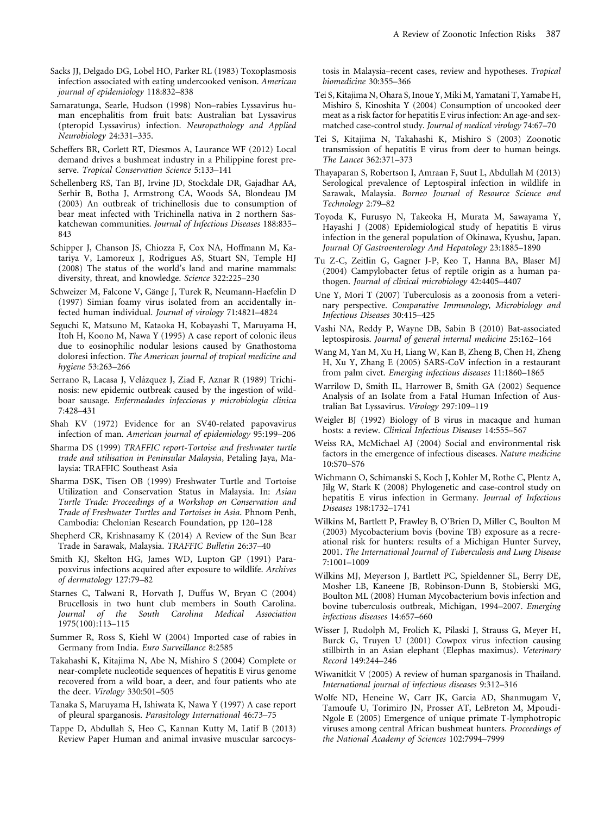- <span id="page-26-0"></span>Sacks JJ, Delgado DG, Lobel HO, Parker RL (1983) Toxoplasmosis infection associated with eating undercooked venison. American journal of epidemiology 118:832–838
- Samaratunga, Searle, Hudson (1998) Non–rabies Lyssavirus human encephalitis from fruit bats: Australian bat Lyssavirus (pteropid Lyssavirus) infection. Neuropathology and Applied Neurobiology 24:331–335.
- Scheffers BR, Corlett RT, Diesmos A, Laurance WF (2012) Local demand drives a bushmeat industry in a Philippine forest preserve. Tropical Conservation Science 5:133–141
- Schellenberg RS, Tan BJ, Irvine JD, Stockdale DR, Gajadhar AA, Serhir B, Botha J, Armstrong CA, Woods SA, Blondeau JM (2003) An outbreak of trichinellosis due to consumption of bear meat infected with Trichinella nativa in 2 northern Saskatchewan communities. Journal of Infectious Diseases 188:835– 843
- Schipper J, Chanson JS, Chiozza F, Cox NA, Hoffmann M, Katariya V, Lamoreux J, Rodrigues AS, Stuart SN, Temple HJ (2008) The status of the world's land and marine mammals: diversity, threat, and knowledge. Science 322:225–230
- Schweizer M, Falcone V, Gänge J, Turek R, Neumann-Haefelin D (1997) Simian foamy virus isolated from an accidentally infected human individual. Journal of virology 71:4821–4824
- Seguchi K, Matsuno M, Kataoka H, Kobayashi T, Maruyama H, Itoh H, Koono M, Nawa Y (1995) A case report of colonic ileus due to eosinophilic nodular lesions caused by Gnathostoma doloresi infection. The American journal of tropical medicine and hygiene 53:263–266
- Serrano R, Lacasa J, Velázquez J, Ziad F, Aznar R (1989) Trichinosis: new epidemic outbreak caused by the ingestion of wildboar sausage. Enfermedades infecciosas y microbiologia clinica 7:428–431
- Shah KV (1972) Evidence for an SV40-related papovavirus infection of man. American journal of epidemiology 95:199–206
- Sharma DS (1999) TRAFFIC report-Tortoise and freshwater turtle trade and utilisation in Peninsular Malaysia, Petaling Jaya, Malaysia: TRAFFIC Southeast Asia
- Sharma DSK, Tisen OB (1999) Freshwater Turtle and Tortoise Utilization and Conservation Status in Malaysia. In: Asian Turtle Trade: Proceedings of a Workshop on Conservation and Trade of Freshwater Turtles and Tortoises in Asia. Phnom Penh, Cambodia: Chelonian Research Foundation, pp 120–128
- Shepherd CR, Krishnasamy K (2014) A Review of the Sun Bear Trade in Sarawak, Malaysia. TRAFFIC Bulletin 26:37–40
- Smith KJ, Skelton HG, James WD, Lupton GP (1991) Parapoxvirus infections acquired after exposure to wildlife. Archives of dermatology 127:79–82
- Starnes C, Talwani R, Horvath J, Duffus W, Bryan C (2004) Brucellosis in two hunt club members in South Carolina. Journal of the South Carolina Medical Association 1975(100):113–115
- Summer R, Ross S, Kiehl W (2004) Imported case of rabies in Germany from India. Euro Surveillance 8:2585
- Takahashi K, Kitajima N, Abe N, Mishiro S (2004) Complete or near-complete nucleotide sequences of hepatitis E virus genome recovered from a wild boar, a deer, and four patients who ate the deer. Virology 330:501–505
- Tanaka S, Maruyama H, Ishiwata K, Nawa Y (1997) A case report of pleural sparganosis. Parasitology International 46:73–75
- Tappe D, Abdullah S, Heo C, Kannan Kutty M, Latif B (2013) Review Paper Human and animal invasive muscular sarcocys-

tosis in Malaysia–recent cases, review and hypotheses. Tropical biomedicine 30:355–366

- Tei S, Kitajima N, Ohara S, Inoue Y, Miki M, Yamatani T, Yamabe H, Mishiro S, Kinoshita Y (2004) Consumption of uncooked deer meat as a risk factor for hepatitis E virus infection: An age-and sexmatched case-control study. Journal of medical virology 74:67–70
- Tei S, Kitajima N, Takahashi K, Mishiro S (2003) Zoonotic transmission of hepatitis E virus from deer to human beings. The Lancet 362:371–373
- Thayaparan S, Robertson I, Amraan F, Suut L, Abdullah M (2013) Serological prevalence of Leptospiral infection in wildlife in Sarawak, Malaysia. Borneo Journal of Resource Science and Technology 2:79–82
- Toyoda K, Furusyo N, Takeoka H, Murata M, Sawayama Y, Hayashi J (2008) Epidemiological study of hepatitis E virus infection in the general population of Okinawa, Kyushu, Japan. Journal Of Gastroenterology And Hepatology 23:1885–1890
- Tu Z-C, Zeitlin G, Gagner J-P, Keo T, Hanna BA, Blaser MJ (2004) Campylobacter fetus of reptile origin as a human pathogen. Journal of clinical microbiology 42:4405–4407
- Une Y, Mori T (2007) Tuberculosis as a zoonosis from a veterinary perspective. Comparative Immunology, Microbiology and Infectious Diseases 30:415–425
- Vashi NA, Reddy P, Wayne DB, Sabin B (2010) Bat-associated leptospirosis. Journal of general internal medicine 25:162–164
- Wang M, Yan M, Xu H, Liang W, Kan B, Zheng B, Chen H, Zheng H, Xu Y, Zhang E (2005) SARS-CoV infection in a restaurant from palm civet. Emerging infectious diseases 11:1860–1865
- Warrilow D, Smith IL, Harrower B, Smith GA (2002) Sequence Analysis of an Isolate from a Fatal Human Infection of Australian Bat Lyssavirus. Virology 297:109–119
- Weigler BJ (1992) Biology of B virus in macaque and human hosts: a review. Clinical Infectious Diseases 14:555–567
- Weiss RA, McMichael AJ (2004) Social and environmental risk factors in the emergence of infectious diseases. Nature medicine 10:S70–S76
- Wichmann O, Schimanski S, Koch J, Kohler M, Rothe C, Plentz A, Jilg W, Stark K (2008) Phylogenetic and case-control study on hepatitis E virus infection in Germany. Journal of Infectious Diseases 198:1732–1741
- Wilkins M, Bartlett P, Frawley B, O'Brien D, Miller C, Boulton M (2003) Mycobacterium bovis (bovine TB) exposure as a recreational risk for hunters: results of a Michigan Hunter Survey, 2001. The International Journal of Tuberculosis and Lung Disease 7:1001–1009
- Wilkins MJ, Meyerson J, Bartlett PC, Spieldenner SL, Berry DE, Mosher LB, Kaneene JB, Robinson-Dunn B, Stobierski MG, Boulton ML (2008) Human Mycobacterium bovis infection and bovine tuberculosis outbreak, Michigan, 1994–2007. Emerging infectious diseases 14:657–660
- Wisser J, Rudolph M, Frolich K, Pilaski J, Strauss G, Meyer H, Burck G, Truyen U (2001) Cowpox virus infection causing stillbirth in an Asian elephant (Elephas maximus). Veterinary Record 149:244–246
- Wiwanitkit V (2005) A review of human sparganosis in Thailand. International journal of infectious diseases 9:312–316
- Wolfe ND, Heneine W, Carr JK, Garcia AD, Shanmugam V, Tamoufe U, Torimiro JN, Prosser AT, LeBreton M, Mpoudi-Ngole E (2005) Emergence of unique primate T-lymphotropic viruses among central African bushmeat hunters. Proceedings of the National Academy of Sciences 102:7994–7999